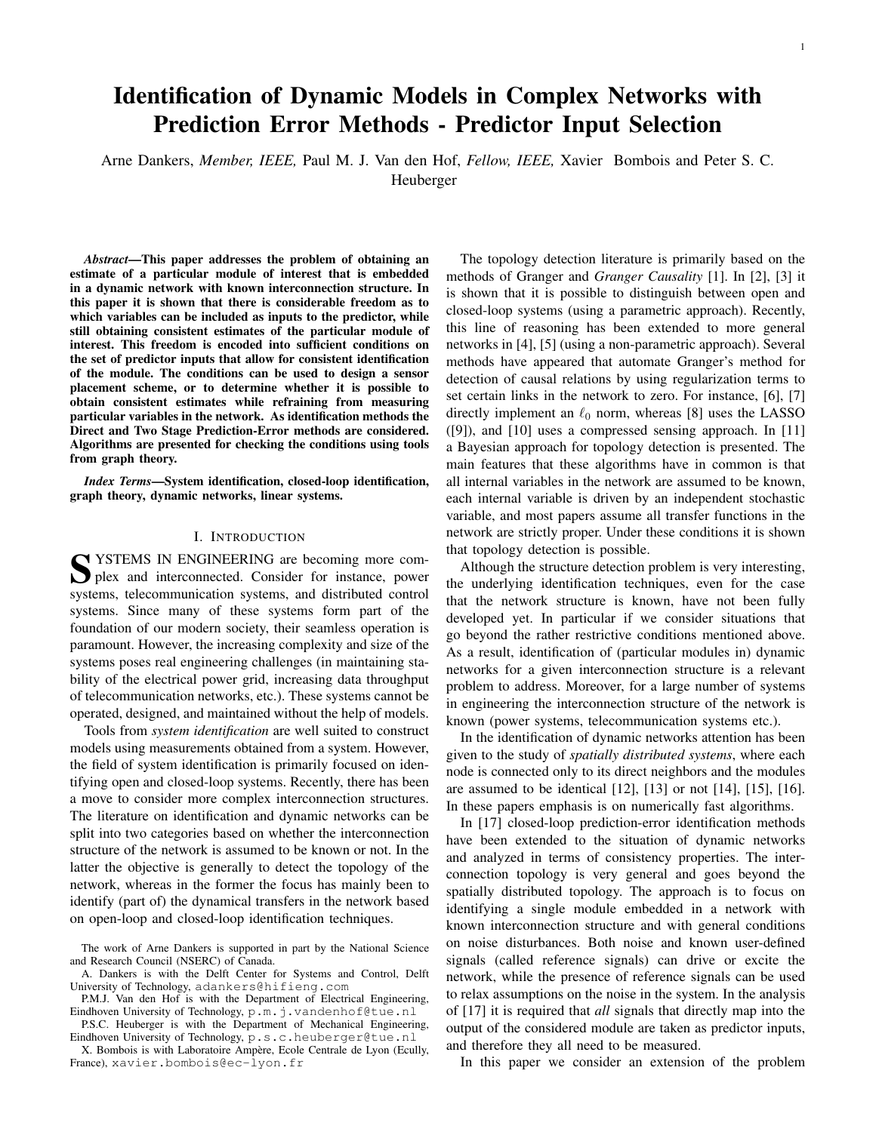# Identification of Dynamic Models in Complex Networks with Prediction Error Methods - Predictor Input Selection

Arne Dankers, *Member, IEEE,* Paul M. J. Van den Hof, *Fellow, IEEE,* Xavier Bombois and Peter S. C.

Heuberger

*Abstract*—This paper addresses the problem of obtaining an estimate of a particular module of interest that is embedded in a dynamic network with known interconnection structure. In this paper it is shown that there is considerable freedom as to which variables can be included as inputs to the predictor, while still obtaining consistent estimates of the particular module of interest. This freedom is encoded into sufficient conditions on the set of predictor inputs that allow for consistent identification of the module. The conditions can be used to design a sensor placement scheme, or to determine whether it is possible to obtain consistent estimates while refraining from measuring particular variables in the network. As identification methods the Direct and Two Stage Prediction-Error methods are considered. Algorithms are presented for checking the conditions using tools from graph theory.

*Index Terms*—System identification, closed-loop identification, graph theory, dynamic networks, linear systems.

# I. INTRODUCTION

SYSTEMS IN ENGINEERING are becoming more complex and interconnected. Consider for instance, power plex and interconnected. Consider for instance, power systems, telecommunication systems, and distributed control systems. Since many of these systems form part of the foundation of our modern society, their seamless operation is paramount. However, the increasing complexity and size of the systems poses real engineering challenges (in maintaining stability of the electrical power grid, increasing data throughput of telecommunication networks, etc.). These systems cannot be operated, designed, and maintained without the help of models.

Tools from *system identification* are well suited to construct models using measurements obtained from a system. However, the field of system identification is primarily focused on identifying open and closed-loop systems. Recently, there has been a move to consider more complex interconnection structures. The literature on identification and dynamic networks can be split into two categories based on whether the interconnection structure of the network is assumed to be known or not. In the latter the objective is generally to detect the topology of the network, whereas in the former the focus has mainly been to identify (part of) the dynamical transfers in the network based on open-loop and closed-loop identification techniques.

P.S.C. Heuberger is with the Department of Mechanical Engineering, Eindhoven University of Technology, p.s.c.heuberger@tue.nl

X. Bombois is with Laboratoire Ampère, Ecole Centrale de Lyon (Ecully, France), xavier.bombois@ec-lyon.fr

The topology detection literature is primarily based on the methods of Granger and *Granger Causality* [1]. In [2], [3] it is shown that it is possible to distinguish between open and closed-loop systems (using a parametric approach). Recently, this line of reasoning has been extended to more general networks in [4], [5] (using a non-parametric approach). Several methods have appeared that automate Granger's method for detection of causal relations by using regularization terms to set certain links in the network to zero. For instance, [6], [7] directly implement an  $\ell_0$  norm, whereas [8] uses the LASSO ([9]), and [10] uses a compressed sensing approach. In [11] a Bayesian approach for topology detection is presented. The main features that these algorithms have in common is that all internal variables in the network are assumed to be known, each internal variable is driven by an independent stochastic variable, and most papers assume all transfer functions in the network are strictly proper. Under these conditions it is shown that topology detection is possible.

Although the structure detection problem is very interesting, the underlying identification techniques, even for the case that the network structure is known, have not been fully developed yet. In particular if we consider situations that go beyond the rather restrictive conditions mentioned above. As a result, identification of (particular modules in) dynamic networks for a given interconnection structure is a relevant problem to address. Moreover, for a large number of systems in engineering the interconnection structure of the network is known (power systems, telecommunication systems etc.).

In the identification of dynamic networks attention has been given to the study of *spatially distributed systems*, where each node is connected only to its direct neighbors and the modules are assumed to be identical [12], [13] or not [14], [15], [16]. In these papers emphasis is on numerically fast algorithms.

In [17] closed-loop prediction-error identification methods have been extended to the situation of dynamic networks and analyzed in terms of consistency properties. The interconnection topology is very general and goes beyond the spatially distributed topology. The approach is to focus on identifying a single module embedded in a network with known interconnection structure and with general conditions on noise disturbances. Both noise and known user-defined signals (called reference signals) can drive or excite the network, while the presence of reference signals can be used to relax assumptions on the noise in the system. In the analysis of [17] it is required that *all* signals that directly map into the output of the considered module are taken as predictor inputs, and therefore they all need to be measured.

In this paper we consider an extension of the problem

The work of Arne Dankers is supported in part by the National Science and Research Council (NSERC) of Canada.

A. Dankers is with the Delft Center for Systems and Control, Delft University of Technology, adankers@hifieng.com

P.M.J. Van den Hof is with the Department of Electrical Engineering, Eindhoven University of Technology, p.m.j.vandenhof@tue.nl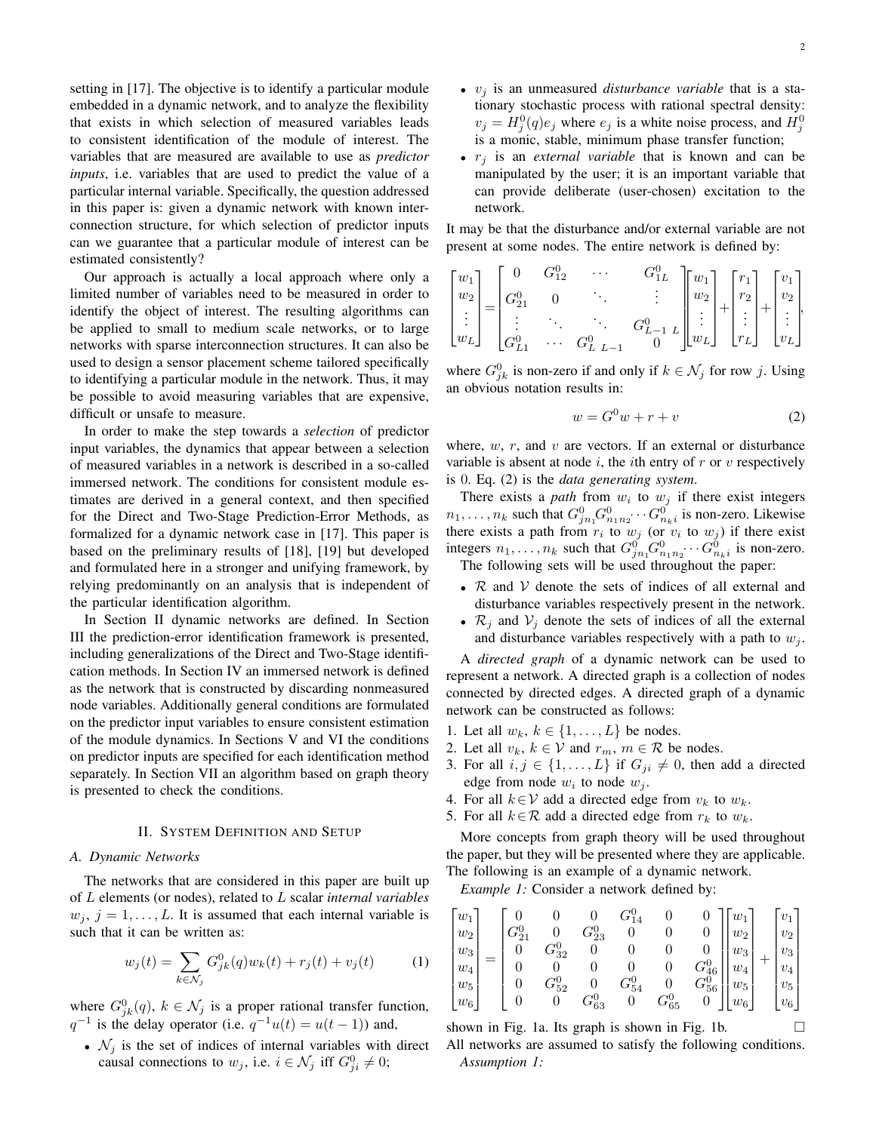setting in [17]. The objective is to identify a particular module embedded in a dynamic network, and to analyze the flexibility that exists in which selection of measured variables leads to consistent identification of the module of interest. The variables that are measured are available to use as *predictor inputs*, i.e. variables that are used to predict the value of a particular internal variable. Specifically, the question addressed in this paper is: given a dynamic network with known interconnection structure, for which selection of predictor inputs can we guarantee that a particular module of interest can be estimated consistently?

Our approach is actually a local approach where only a limited number of variables need to be measured in order to identify the object of interest. The resulting algorithms can be applied to small to medium scale networks, or to large networks with sparse interconnection structures. It can also be used to design a sensor placement scheme tailored specifically to identifying a particular module in the network. Thus, it may be possible to avoid measuring variables that are expensive, difficult or unsafe to measure.

In order to make the step towards a *selection* of predictor input variables, the dynamics that appear between a selection of measured variables in a network is described in a so-called immersed network. The conditions for consistent module estimates are derived in a general context, and then specified for the Direct and Two-Stage Prediction-Error Methods, as formalized for a dynamic network case in [17]. This paper is based on the preliminary results of [18], [19] but developed and formulated here in a stronger and unifying framework, by relying predominantly on an analysis that is independent of the particular identification algorithm.

In Section II dynamic networks are defined. In Section III the prediction-error identification framework is presented, including generalizations of the Direct and Two-Stage identification methods. In Section IV an immersed network is defined as the network that is constructed by discarding nonmeasured node variables. Additionally general conditions are formulated on the predictor input variables to ensure consistent estimation of the module dynamics. In Sections V and VI the conditions on predictor inputs are specified for each identification method separately. In Section VII an algorithm based on graph theory is presented to check the conditions.

#### II. SYSTEM DEFINITION AND SETUP

### *A. Dynamic Networks*

The networks that are considered in this paper are built up of L elements (or nodes), related to L scalar *internal variables*  $w_j$ ,  $j = 1, \ldots, L$ . It is assumed that each internal variable is such that it can be written as:

$$
w_j(t) = \sum_{k \in \mathcal{N}_j} G_{jk}^0(q) w_k(t) + r_j(t) + v_j(t)
$$
 (1)

where  $G_{jk}^0(q)$ ,  $k \in \mathcal{N}_j$  is a proper rational transfer function,  $q^{-1}$  is the delay operator (i.e.  $q^{-1}u(t) = u(t-1)$ ) and,

•  $\mathcal{N}_i$  is the set of indices of internal variables with direct causal connections to  $w_j$ , i.e.  $i \in \mathcal{N}_j$  iff  $G_{ji}^0 \neq 0$ ;

- $v_i$  is an unmeasured *disturbance variable* that is a stationary stochastic process with rational spectral density:  $v_j = H_j^0(q)e_j$  where  $e_j$  is a white noise process, and  $H_j^0$ is a monic, stable, minimum phase transfer function;
- $r_i$  is an *external variable* that is known and can be manipulated by the user; it is an important variable that can provide deliberate (user-chosen) excitation to the network.

It may be that the disturbance and/or external variable are not present at some nodes. The entire network is defined by:

$$
\begin{bmatrix} w_1 \\ w_2 \\ \vdots \\ w_L \end{bmatrix} = \begin{bmatrix} 0 & G_{12}^0 & \cdots & G_{1L}^0 \\ G_{21}^0 & 0 & \ddots & \vdots \\ \vdots & \ddots & \ddots & G_{L-1}^0 & L \end{bmatrix} \begin{bmatrix} w_1 \\ w_2 \\ \vdots \\ w_L \end{bmatrix} + \begin{bmatrix} r_1 \\ r_2 \\ \vdots \\ r_L \end{bmatrix} + \begin{bmatrix} v_1 \\ v_2 \\ \vdots \\ v_L \end{bmatrix},
$$

where  $G_{jk}^0$  is non-zero if and only if  $k \in \mathcal{N}_j$  for row j. Using an obvious notation results in:

$$
w = G^0 w + r + v \tag{2}
$$

where,  $w$ ,  $r$ , and  $v$  are vectors. If an external or disturbance variable is absent at node  $i$ , the *i*th entry of  $r$  or  $v$  respectively is 0. Eq. (2) is the *data generating system*.

There exists a *path* from  $w_i$  to  $w_j$  if there exist integers  $n_1, \ldots, n_k$  such that  $G_{j n_1}^0 G_{n_1 n_2}^0 \cdots G_{n_k i}^0$  is non-zero. Likewise there exists a path from  $r_i$  to  $w_j$  (or  $v_i$  to  $w_j$ ) if there exist integers  $n_1, \ldots, n_k$  such that  $G_{j n_1}^0 G_{n_1 n_2}^0 \cdots G_{n_k i}^0$  is non-zero.

The following sets will be used throughout the paper:

- $R$  and  $V$  denote the sets of indices of all external and disturbance variables respectively present in the network.
- $\mathcal{R}_i$  and  $\mathcal{V}_i$  denote the sets of indices of all the external and disturbance variables respectively with a path to  $w_i$ .

A *directed graph* of a dynamic network can be used to represent a network. A directed graph is a collection of nodes connected by directed edges. A directed graph of a dynamic network can be constructed as follows:

- 1. Let all  $w_k$ ,  $k \in \{1, \ldots, L\}$  be nodes.
- 2. Let all  $v_k$ ,  $k \in V$  and  $r_m$ ,  $m \in \mathcal{R}$  be nodes.
- 3. For all  $i, j \in \{1, \ldots, L\}$  if  $G_{ji} \neq 0$ , then add a directed edge from node  $w_i$  to node  $w_j$ .
- 4. For all  $k \in V$  add a directed edge from  $v_k$  to  $w_k$ .
- 5. For all  $k \in \mathcal{R}$  add a directed edge from  $r_k$  to  $w_k$ .

More concepts from graph theory will be used throughout the paper, but they will be presented where they are applicable. The following is an example of a dynamic network.

*Example 1:* Consider a network defined by:

$$
\begin{bmatrix} w_1 \\ w_2 \\ w_3 \\ w_4 \\ w_5 \\ w_6 \end{bmatrix} = \begin{bmatrix} 0 & 0 & 0 & G_{14}^0 & 0 & 0 \\ G_{21}^0 & 0 & G_{23}^0 & 0 & 0 & 0 \\ 0 & G_{32}^0 & 0 & 0 & 0 & 0 \\ 0 & 0 & 0 & 0 & G_{46}^0 \\ 0 & G_{52}^0 & 0 & G_{54}^0 & 0 & G_{56}^0 \\ 0 & 0 & G_{63}^0 & 0 & G_{65}^0 & 0 \end{bmatrix} \begin{bmatrix} w_1 \\ w_2 \\ w_3 \\ w_4 \\ w_5 \\ w_6 \end{bmatrix} + \begin{bmatrix} v_1 \\ v_2 \\ v_3 \\ v_4 \\ v_5 \\ v_6 \end{bmatrix}
$$

shown in Fig. 1a. Its graph is shown in Fig. 1b.  $\Box$ All networks are assumed to satisfy the following conditions. *Assumption 1:*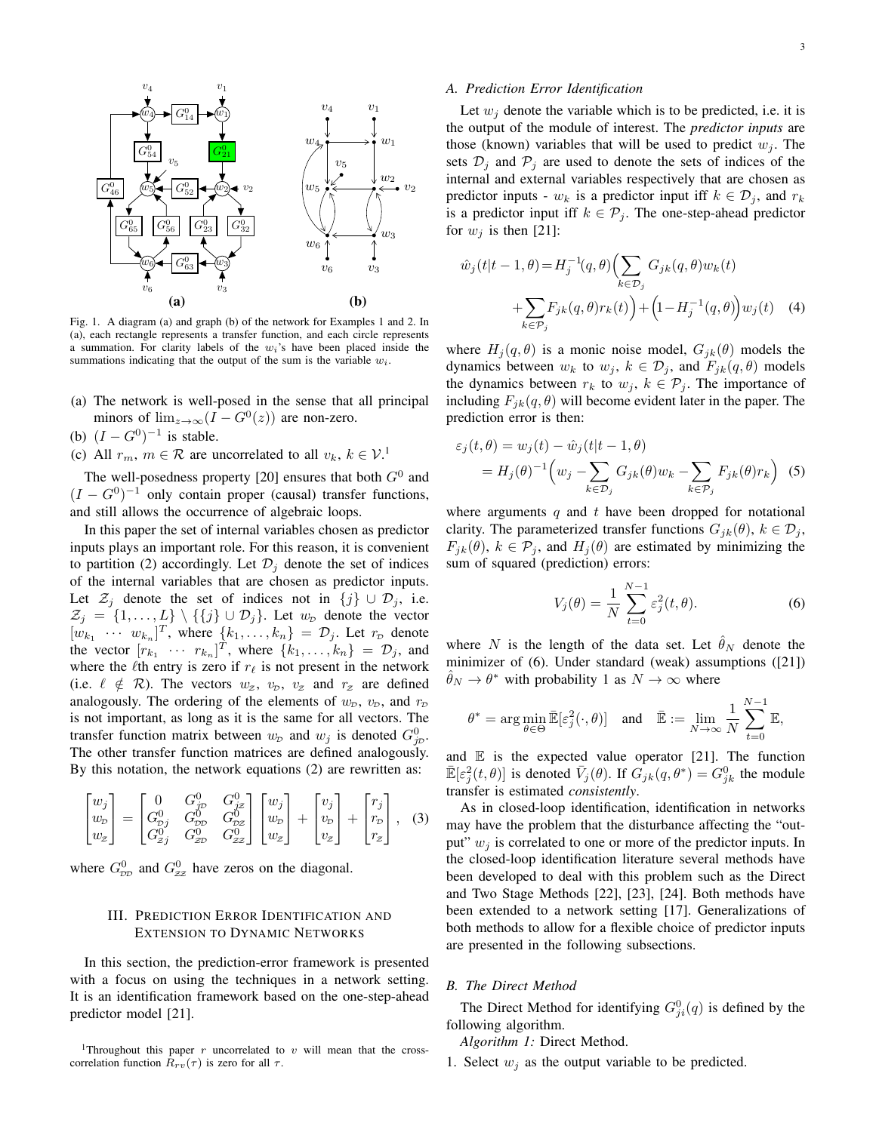

Fig. 1. A diagram (a) and graph (b) of the network for Examples 1 and 2. In (a), each rectangle represents a transfer function, and each circle represents a summation. For clarity labels of the  $w_i$ 's have been placed inside the summations indicating that the output of the sum is the variable  $w_i$ .

- (a) The network is well-posed in the sense that all principal minors of  $\lim_{z\to\infty} (I - G^0(z))$  are non-zero.
- (b)  $(I G^0)^{-1}$  is stable.
- (c) All  $r_m$ ,  $m \in \mathcal{R}$  are uncorrelated to all  $v_k$ ,  $k \in \mathcal{V}$ .<sup>1</sup>

The well-posedness property [20] ensures that both  $G^0$  and  $(I - G<sup>0</sup>)<sup>-1</sup>$  only contain proper (causal) transfer functions, and still allows the occurrence of algebraic loops.

In this paper the set of internal variables chosen as predictor inputs plays an important role. For this reason, it is convenient to partition (2) accordingly. Let  $\mathcal{D}_j$  denote the set of indices of the internal variables that are chosen as predictor inputs. Let  $\mathcal{Z}_j$  denote the set of indices not in  $\{j\} \cup \mathcal{D}_j$ , i.e.  $\mathcal{Z}_j = \{1, \ldots, L\} \setminus \{\{j\} \cup \mathcal{D}_j\}.$  Let  $w_{\mathcal{D}}$  denote the vector  $[w_{k_1} \cdots w_{k_n}]^T$ , where  $\{k_1, \ldots, k_n\} = \mathcal{D}_j$ . Let  $r_{\mathcal{D}}$  denote the vector  $[r_{k_1} \cdots r_{k_n}]^T$ , where  $\{k_1, \ldots, k_n\} = \mathcal{D}_j$ , and where the  $\ell$ th entry is zero if  $r_\ell$  is not present in the network (i.e.  $\ell \notin \mathcal{R}$ ). The vectors  $w_z$ ,  $v_p$ ,  $v_z$  and  $r_z$  are defined analogously. The ordering of the elements of  $w_p$ ,  $v_p$ , and  $r_p$ is not important, as long as it is the same for all vectors. The transfer function matrix between  $w_p$  and  $w_j$  is denoted  $G_{jp}^0$ . The other transfer function matrices are defined analogously. By this notation, the network equations (2) are rewritten as:

$$
\begin{bmatrix} w_j \\ w_p \\ w_z \end{bmatrix} = \begin{bmatrix} 0 & G_p^0 & G_{jz}^0 \\ G_{pj}^0 & G_{pj}^0 & G_{pz}^0 \\ G_{zj}^0 & G_{zp}^0 & G_{zz}^0 \end{bmatrix} \begin{bmatrix} w_j \\ w_p \\ w_z \end{bmatrix} + \begin{bmatrix} v_j \\ v_p \\ v_z \end{bmatrix} + \begin{bmatrix} r_j \\ r_p \\ r_z \end{bmatrix}, \quad (3)
$$

where  $G_{\text{DD}}^0$  and  $G_{\text{ZZ}}^0$  have zeros on the diagonal.

# III. PREDICTION ERROR IDENTIFICATION AND EXTENSION TO DYNAMIC NETWORKS

In this section, the prediction-error framework is presented with a focus on using the techniques in a network setting. It is an identification framework based on the one-step-ahead predictor model [21].

<sup>1</sup>Throughout this paper r uncorrelated to v will mean that the crosscorrelation function  $R_{rv}(\tau)$  is zero for all  $\tau$ .

#### *A. Prediction Error Identification*

Let  $w_i$  denote the variable which is to be predicted, i.e. it is the output of the module of interest. The *predictor inputs* are those (known) variables that will be used to predict  $w_i$ . The sets  $\mathcal{D}_i$  and  $\mathcal{P}_j$  are used to denote the sets of indices of the internal and external variables respectively that are chosen as predictor inputs -  $w_k$  is a predictor input iff  $k \in \mathcal{D}_j$ , and  $r_k$ is a predictor input iff  $k \in \mathcal{P}_i$ . The one-step-ahead predictor for  $w_i$  is then [21]:

$$
\hat{w}_j(t|t-1,\theta) = H_j^{-1}(q,\theta) \Biggl( \sum_{k \in \mathcal{D}_j} G_{jk}(q,\theta) w_k(t) + \sum_{k \in \mathcal{P}_j} F_{jk}(q,\theta) r_k(t) \Biggr) + \Biggl( 1 - H_j^{-1}(q,\theta) \Biggr) w_j(t) \quad (4)
$$

where  $H_i(q, \theta)$  is a monic noise model,  $G_{ik}(\theta)$  models the dynamics between  $w_k$  to  $w_j$ ,  $k \in \mathcal{D}_j$ , and  $F_{jk}(q, \theta)$  models the dynamics between  $r_k$  to  $w_j$ ,  $k \in \mathcal{P}_j$ . The importance of including  $F_{jk}(q, \theta)$  will become evident later in the paper. The prediction error is then:

$$
\varepsilon_j(t,\theta) = w_j(t) - \hat{w}_j(t|t-1,\theta)
$$
  
=  $H_j(\theta)^{-1} \left( w_j - \sum_{k \in \mathcal{D}_j} G_{jk}(\theta) w_k - \sum_{k \in \mathcal{P}_j} F_{jk}(\theta) r_k \right)$  (5)

where arguments  $q$  and  $t$  have been dropped for notational clarity. The parameterized transfer functions  $G_{jk}(\theta)$ ,  $k \in \mathcal{D}_j$ ,  $F_{jk}(\theta)$ ,  $k \in \mathcal{P}_j$ , and  $H_j(\theta)$  are estimated by minimizing the sum of squared (prediction) errors:

$$
V_j(\theta) = \frac{1}{N} \sum_{t=0}^{N-1} \varepsilon_j^2(t, \theta).
$$
 (6)

where N is the length of the data set. Let  $\hat{\theta}_N$  denote the minimizer of (6). Under standard (weak) assumptions ([21])  $\hat{\theta}_N \to \theta^*$  with probability 1 as  $N \to \infty$  where

$$
\theta^* = \arg\min_{\theta \in \Theta} \bar{\mathbb{E}}[\varepsilon_j^2(\cdot,\theta)] \quad \text{and} \quad \bar{\mathbb{E}} := \lim_{N \to \infty} \frac{1}{N} \sum_{t=0}^{N-1} \mathbb{E},
$$

and  $E$  is the expected value operator [21]. The function  $\mathbb{E}[\varepsilon_j^2(t,\theta)]$  is denoted  $\bar{V}_j(\theta)$ . If  $G_{jk}(q,\theta^*) = G_{jk}^0$  the module transfer is estimated *consistently*.

As in closed-loop identification, identification in networks may have the problem that the disturbance affecting the "output"  $w_i$  is correlated to one or more of the predictor inputs. In the closed-loop identification literature several methods have been developed to deal with this problem such as the Direct and Two Stage Methods [22], [23], [24]. Both methods have been extended to a network setting [17]. Generalizations of both methods to allow for a flexible choice of predictor inputs are presented in the following subsections.

#### *B. The Direct Method*

The Direct Method for identifying  $G_{ji}^0(q)$  is defined by the following algorithm.

*Algorithm 1:* Direct Method.

1. Select  $w_i$  as the output variable to be predicted.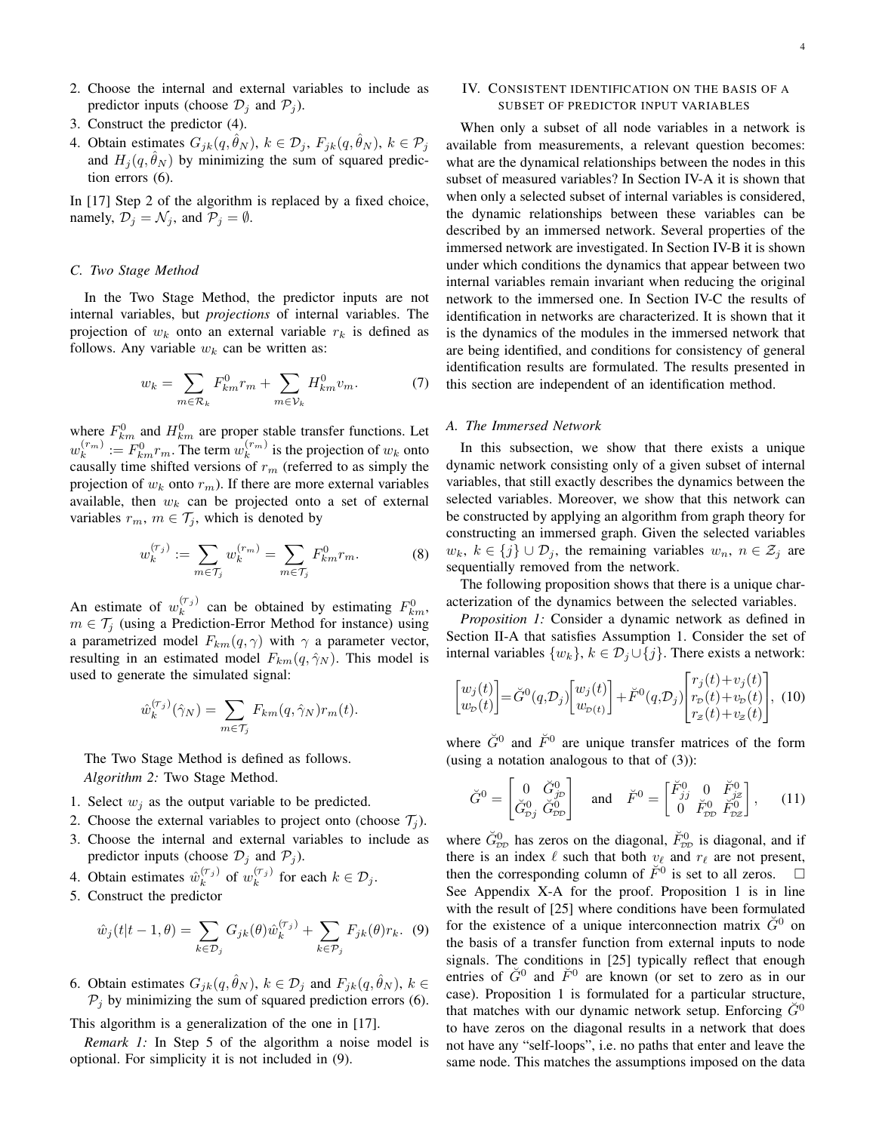- 2. Choose the internal and external variables to include as predictor inputs (choose  $\mathcal{D}_i$  and  $\mathcal{P}_i$ ).
- 3. Construct the predictor (4).
- 4. Obtain estimates  $G_{jk}(q, \hat{\theta}_N)$ ,  $k \in \mathcal{D}_j$ ,  $F_{jk}(q, \hat{\theta}_N)$ ,  $k \in \mathcal{P}_j$ and  $H_i(q, \hat{\theta}_N)$  by minimizing the sum of squared prediction errors (6).

In [17] Step 2 of the algorithm is replaced by a fixed choice, namely,  $\mathcal{D}_i = \mathcal{N}_i$ , and  $\mathcal{P}_i = \emptyset$ .

### *C. Two Stage Method*

In the Two Stage Method, the predictor inputs are not internal variables, but *projections* of internal variables. The projection of  $w_k$  onto an external variable  $r_k$  is defined as follows. Any variable  $w_k$  can be written as:

$$
w_k = \sum_{m \in \mathcal{R}_k} F_{km}^0 r_m + \sum_{m \in \mathcal{V}_k} H_{km}^0 v_m.
$$
 (7)

where  $F_{km}^0$  and  $H_{km}^0$  are proper stable transfer functions. Let  $w_k^{(r_m)} := F_{km}^0 r_m$ . The term  $w_k^{(r_m)}$  is the projection of  $w_k$  onto causally time shifted versions of  $r_m$  (referred to as simply the projection of  $w_k$  onto  $r_m$ ). If there are more external variables available, then  $w_k$  can be projected onto a set of external variables  $r_m$ ,  $m \in \mathcal{T}_j$ , which is denoted by

$$
w_k^{(\tau_j)} := \sum_{m \in \mathcal{T}_j} w_k^{(r_m)} = \sum_{m \in \mathcal{T}_j} F_{km}^0 r_m.
$$
 (8)

An estimate of  $w_k^{(\tau_j)}$  can be obtained by estimating  $F_{km}^0$ ,  $m \in \mathcal{T}_j$  (using a Prediction-Error Method for instance) using a parametrized model  $F_{km}(q, \gamma)$  with  $\gamma$  a parameter vector, resulting in an estimated model  $F_{km}(q, \hat{\gamma}_N)$ . This model is used to generate the simulated signal:

$$
\hat{w}_k^{(\tau_j)}(\hat{\gamma}_N) = \sum_{m \in \mathcal{T}_j} F_{km}(q, \hat{\gamma}_N) r_m(t).
$$

The Two Stage Method is defined as follows. *Algorithm 2:* Two Stage Method.

- 1. Select  $w_i$  as the output variable to be predicted.
- 2. Choose the external variables to project onto (choose  $\mathcal{T}_i$ ).
- 3. Choose the internal and external variables to include as predictor inputs (choose  $\mathcal{D}_j$  and  $\mathcal{P}_j$ ).
- 4. Obtain estimates  $\hat{w}_k^{(\tau_j)}$  of  $w_k^{(\tau_j)}$  for each  $k \in \mathcal{D}_j$ .
- 5. Construct the predictor

$$
\hat{w}_j(t|t-1,\theta) = \sum_{k \in \mathcal{D}_j} G_{jk}(\theta) \hat{w}_k^{(\tau_j)} + \sum_{k \in \mathcal{P}_j} F_{jk}(\theta) r_k. \tag{9}
$$

6. Obtain estimates  $G_{jk}(q, \hat{\theta}_N)$ ,  $k \in \mathcal{D}_j$  and  $F_{jk}(q, \hat{\theta}_N)$ ,  $k \in \mathcal{D}_j$  $P_i$  by minimizing the sum of squared prediction errors (6).

This algorithm is a generalization of the one in [17].

*Remark 1:* In Step 5 of the algorithm a noise model is optional. For simplicity it is not included in (9).

# IV. CONSISTENT IDENTIFICATION ON THE BASIS OF A SUBSET OF PREDICTOR INPUT VARIABLES

When only a subset of all node variables in a network is available from measurements, a relevant question becomes: what are the dynamical relationships between the nodes in this subset of measured variables? In Section IV-A it is shown that when only a selected subset of internal variables is considered, the dynamic relationships between these variables can be described by an immersed network. Several properties of the immersed network are investigated. In Section IV-B it is shown under which conditions the dynamics that appear between two internal variables remain invariant when reducing the original network to the immersed one. In Section IV-C the results of identification in networks are characterized. It is shown that it is the dynamics of the modules in the immersed network that are being identified, and conditions for consistency of general identification results are formulated. The results presented in this section are independent of an identification method.

#### *A. The Immersed Network*

In this subsection, we show that there exists a unique dynamic network consisting only of a given subset of internal variables, that still exactly describes the dynamics between the selected variables. Moreover, we show that this network can be constructed by applying an algorithm from graph theory for constructing an immersed graph. Given the selected variables  $w_k, k \in \{j\} \cup \mathcal{D}_j$ , the remaining variables  $w_n, n \in \mathcal{Z}_j$  are sequentially removed from the network.

The following proposition shows that there is a unique characterization of the dynamics between the selected variables.

*Proposition 1:* Consider a dynamic network as defined in Section II-A that satisfies Assumption 1. Consider the set of internal variables  $\{w_k\}, k \in \mathcal{D}_j \cup \{j\}$ . There exists a network:

$$
\begin{bmatrix} w_j(t) \\ w_p(t) \end{bmatrix} = \breve{G}^0(q, \mathcal{D}_j) \begin{bmatrix} w_j(t) \\ w_{p(t)} \end{bmatrix} + \breve{F}^0(q, \mathcal{D}_j) \begin{bmatrix} r_j(t) + v_j(t) \\ r_p(t) + v_p(t) \\ r_z(t) + v_z(t) \end{bmatrix}, \tag{10}
$$

where  $\check{G}^0$  and  $\check{F}^0$  are unique transfer matrices of the form (using a notation analogous to that of  $(3)$ ):

$$
\check{G}^0 = \begin{bmatrix} 0 & \check{G}_{j\mathcal{D}}^0 \\ \check{G}_{\mathcal{D}j}^0 & \check{G}_{\mathcal{D}\mathcal{D}}^0 \end{bmatrix} \quad \text{and} \quad \check{F}^0 = \begin{bmatrix} \check{F}_{jj}^0 & 0 & \check{F}_{j\mathcal{Z}}^0 \\ 0 & \check{F}_{\mathcal{D}\mathcal{D}}^0 & \check{F}_{\mathcal{D}\mathcal{Z}}^0 \end{bmatrix}, \qquad (11)
$$

where  $\check{G}_{DD}^0$  has zeros on the diagonal,  $\check{F}_{DD}^0$  is diagonal, and if there is an index  $\ell$  such that both  $v_{\ell}$  and  $r_{\ell}$  are not present, then the corresponding column of  $\check{F}^0$  is set to all zeros.  $\Box$ See Appendix X-A for the proof. Proposition 1 is in line with the result of [25] where conditions have been formulated for the existence of a unique interconnection matrix  $\tilde{G}^0$  on the basis of a transfer function from external inputs to node signals. The conditions in [25] typically reflect that enough entries of  $\check{G}^0$  and  $\check{F}^0$  are known (or set to zero as in our case). Proposition 1 is formulated for a particular structure, that matches with our dynamic network setup. Enforcing  $G^0$ to have zeros on the diagonal results in a network that does not have any "self-loops", i.e. no paths that enter and leave the same node. This matches the assumptions imposed on the data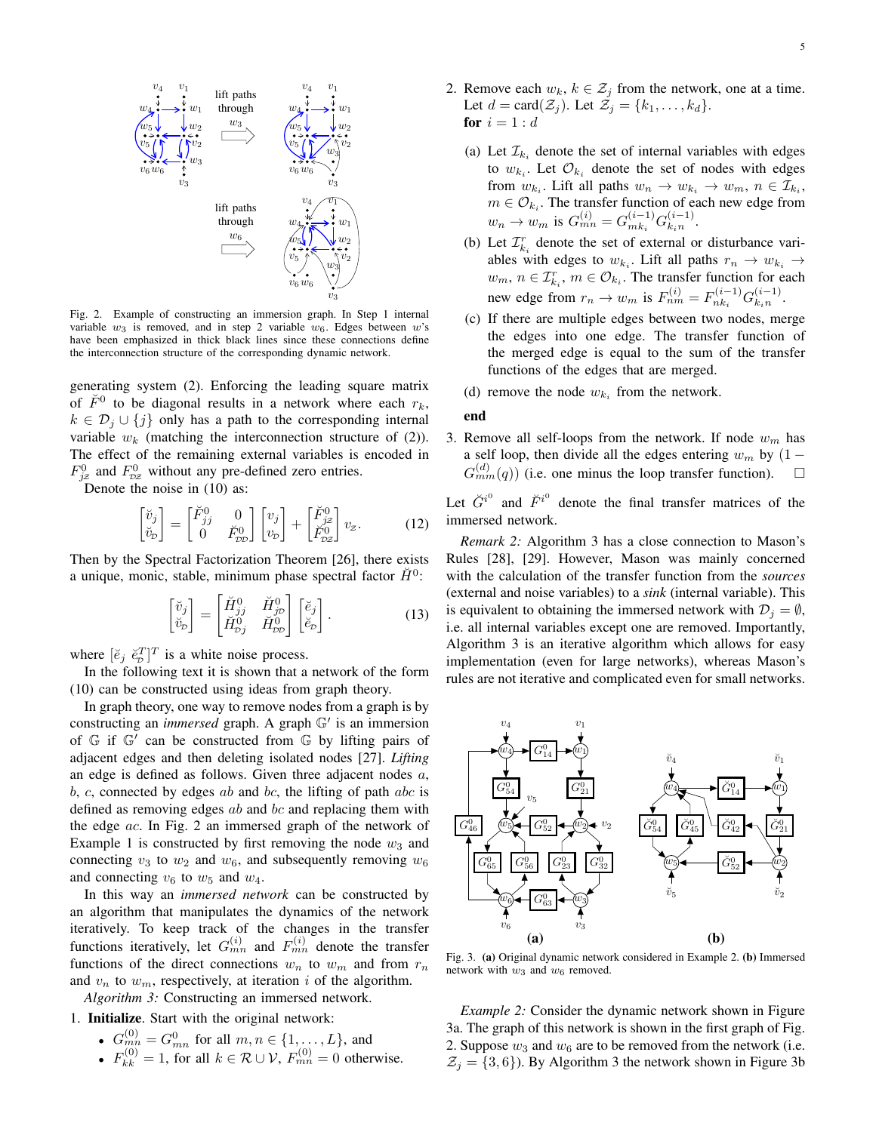

Fig. 2. Example of constructing an immersion graph. In Step 1 internal variable  $w_3$  is removed, and in step 2 variable  $w_6$ . Edges between  $w$ 's have been emphasized in thick black lines since these connections define the interconnection structure of the corresponding dynamic network.

generating system (2). Enforcing the leading square matrix of  $\check{F}^0$  to be diagonal results in a network where each  $r_k$ ,  $k \in \mathcal{D}_i \cup \{j\}$  only has a path to the corresponding internal variable  $w_k$  (matching the interconnection structure of (2)). The effect of the remaining external variables is encoded in  $F_{jz}^0$  and  $F_{\nu z}^0$  without any pre-defined zero entries.

Denote the noise in (10) as:

$$
\begin{bmatrix} \check{v}_j \\ \check{v}_p \end{bmatrix} = \begin{bmatrix} \check{F}_{jj}^0 & 0 \\ 0 & \check{F}_{\mathcal{D}\mathcal{D}}^0 \end{bmatrix} \begin{bmatrix} v_j \\ v_p \end{bmatrix} + \begin{bmatrix} \check{F}_{jz}^0 \\ \check{F}_{\mathcal{D}z}^0 \end{bmatrix} v_z.
$$
 (12)

Then by the Spectral Factorization Theorem [26], there exists a unique, monic, stable, minimum phase spectral factor  $\check{H}^0$ :

$$
\begin{bmatrix} \breve{v}_j \\ \breve{v}_p \end{bmatrix} = \begin{bmatrix} \breve{H}_{jj}^0 & \breve{H}_{jp}^0 \\ \breve{H}_{pj}^0 & \breve{H}_{pp}^0 \end{bmatrix} \begin{bmatrix} \breve{e}_j \\ \breve{e}_p \end{bmatrix} . \tag{13}
$$

where  $[\check{e}_j \; \check{e}_p^T]^T$  is a white noise process.

In the following text it is shown that a network of the form (10) can be constructed using ideas from graph theory.

In graph theory, one way to remove nodes from a graph is by constructing an *immersed* graph. A graph  $\mathbb{G}'$  is an immersion of  $G$  if  $G'$  can be constructed from  $G$  by lifting pairs of adjacent edges and then deleting isolated nodes [27]. *Lifting* an edge is defined as follows. Given three adjacent nodes a, b, c, connected by edges ab and bc, the lifting of path abc is defined as removing edges  $ab$  and  $bc$  and replacing them with the edge ac. In Fig. 2 an immersed graph of the network of Example 1 is constructed by first removing the node  $w_3$  and connecting  $v_3$  to  $w_2$  and  $w_6$ , and subsequently removing  $w_6$ and connecting  $v_6$  to  $w_5$  and  $w_4$ .

In this way an *immersed network* can be constructed by an algorithm that manipulates the dynamics of the network iteratively. To keep track of the changes in the transfer functions iteratively, let  $G_{mn}^{(i)}$  and  $F_{mn}^{(i)}$  denote the transfer functions of the direct connections  $w_n$  to  $w_m$  and from  $r_n$ and  $v_n$  to  $w_m$ , respectively, at iteration i of the algorithm.

*Algorithm 3:* Constructing an immersed network.

1. Initialize. Start with the original network:

• 
$$
G_{mn}^{(0)} = G_{mn}^0
$$
 for all  $m, n \in \{1, ..., L\}$ , and

•  $F_{kk}^{(0)} = 1$ , for all  $k \in \mathcal{R} \cup \mathcal{V}$ ,  $F_{mn}^{(0)} = 0$  otherwise.

- 2. Remove each  $w_k$ ,  $k \in \mathcal{Z}_j$  from the network, one at a time. Let  $d = \text{card}(\mathcal{Z}_j)$ . Let  $\mathcal{Z}_j = \{k_1, \ldots, k_d\}$ . for  $i = 1:d$ 
	- (a) Let  $\mathcal{I}_{k_i}$  denote the set of internal variables with edges to  $w_{k_i}$ . Let  $\mathcal{O}_{k_i}$  denote the set of nodes with edges from  $w_{k_i}$ . Lift all paths  $w_n \to w_{k_i} \to w_m$ ,  $n \in \mathcal{I}_{k_i}$ ,  $m \in \mathcal{O}_{k_i}$ . The transfer function of each new edge from  $w_n \to w_m$  is  $G_{mn}^{(i)} = G_{mk_i}^{(i-1)}$  ${}^{(i-1)}_{mk_i}G^{(i-1)}_{k_in}$  $\frac{(i-1)}{k_i n}$ .
	- (b) Let  $\mathcal{I}_{k_i}^r$  denote the set of external or disturbance variables with edges to  $w_{k_i}$ . Lift all paths  $r_n \to w_{k_i} \to$  $w_m$ ,  $n \in \mathcal{I}_{k_i}^r$ ,  $m \in \mathcal{O}_{k_i}$ . The transfer function for each new edge from  $r_n \to w_m$  is  $F_{nm}^{(i)} = F_{nk_i}^{(i-1)}$  $\bar{G}_{n k_i}^{(i-1)} G_{k_i n}^{(i-1)}$  $\frac{(i-1)}{k_i n}$ .
	- (c) If there are multiple edges between two nodes, merge the edges into one edge. The transfer function of the merged edge is equal to the sum of the transfer functions of the edges that are merged.
	- (d) remove the node  $w_{k_i}$  from the network.

### end

3. Remove all self-loops from the network. If node  $w_m$  has a self loop, then divide all the edges entering  $w_m$  by  $(1 G_{mm}^{(d)}(q)$ ) (i.e. one minus the loop transfer function).  $\Box$ 

Let  $\check{G}^{i^0}$  and  $\check{F}^{i^0}$  denote the final transfer matrices of the immersed network.

*Remark 2:* Algorithm 3 has a close connection to Mason's Rules [28], [29]. However, Mason was mainly concerned with the calculation of the transfer function from the *sources* (external and noise variables) to a *sink* (internal variable). This is equivalent to obtaining the immersed network with  $\mathcal{D}_i = \emptyset$ , i.e. all internal variables except one are removed. Importantly, Algorithm 3 is an iterative algorithm which allows for easy implementation (even for large networks), whereas Mason's rules are not iterative and complicated even for small networks.



Fig. 3. (a) Original dynamic network considered in Example 2. (b) Immersed network with  $w_3$  and  $w_6$  removed.

*Example 2:* Consider the dynamic network shown in Figure 3a. The graph of this network is shown in the first graph of Fig. 2. Suppose  $w_3$  and  $w_6$  are to be removed from the network (i.e.  $\mathcal{Z}_i = \{3, 6\}$ . By Algorithm 3 the network shown in Figure 3b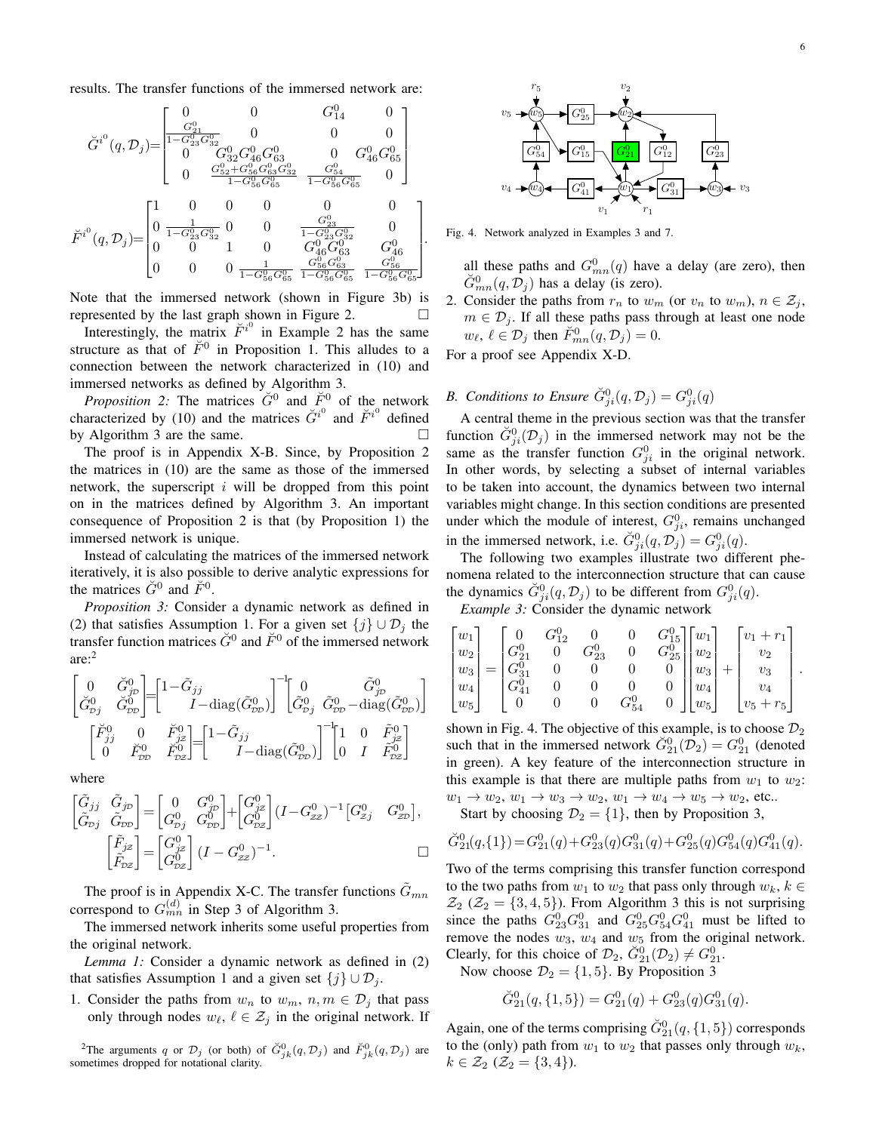results. The transfer functions of the immersed network are:

$$
\label{eq:11} \check{G}^{i^0}(q,\mathcal{D}_j)\!\!=\!\! \begin{bmatrix} 0 & 0 & G^0_{14} & 0 \\ \frac{G^0_{21}}{1-G^0_{23}G^0_{32}} & 0 & 0 & 0 \\ 0 & G^0_{32}G^0_{46}G^0_{63} & 0 & G^0_{46}G^0_{65} \\ 0 & \frac{G^0_{52}+G^0_{56}G^0_{63}G^0_{32}}{1-G^0_{56}G^0_{65}} & \frac{G^0_{54}}{1-G^0_{56}G^0_{65}} & 0 \end{bmatrix}\\ \check{F}^{i^0}(q,\mathcal{D}_j)\!\!=\!\! \begin{bmatrix} 1 & 0 & 0 & 0 & 0 & 0 \\ 0 & \frac{1}{1-G^0_{23}G^0_{32}} & 0 & 0 & \frac{G^0_{23}}{1-G^0_{23}G^0_{32}} & 0 \\ 0 & 0 & 1 & 0 & G^0_{46}G^0_{63} & G^0_{46} \\ 0 & 0 & 0 & \frac{1}{1-G^0_{56}G^0_{65}} & \frac{G^0_{56}G^0_{63}}{1-G^0_{56}G^0_{65}} & \frac{G^0_{56}}{1-G^0_{56}G^0_{65}} \end{bmatrix}.
$$

Note that the immersed network (shown in Figure 3b) is represented by the last graph shown in Figure 2.  $\Box$ 

Interestingly, the matrix  $\check{F}^{i^0}$  in Example 2 has the same structure as that of  $\check{F}^0$  in Proposition 1. This alludes to a connection between the network characterized in (10) and immersed networks as defined by Algorithm 3.

*Proposition 2:* The matrices  $\check{G}^0$  and  $\check{F}^0$  of the network characterized by (10) and the matrices  $\check{G}^{i^0}$  and  $\check{F}^{i^0}$  defined by Algorithm 3 are the same.

The proof is in Appendix X-B. Since, by Proposition 2 the matrices in (10) are the same as those of the immersed network, the superscript  $i$  will be dropped from this point on in the matrices defined by Algorithm 3. An important consequence of Proposition 2 is that (by Proposition 1) the immersed network is unique.

Instead of calculating the matrices of the immersed network iteratively, it is also possible to derive analytic expressions for the matrices  $\check{G}^0$  and  $\check{F}^0$ .

*Proposition 3:* Consider a dynamic network as defined in (2) that satisfies Assumption 1. For a given set  $\{j\} \cup \mathcal{D}_j$  the transfer function matrices  $\check{G}^0$  and  $\check{F}^0$  of the immersed network are:<sup>2</sup>

$$
\begin{bmatrix} 0 & \check{G}_{j\mathcal{D}}^{0} \\ \check{G}_{\mathcal{D}_{j}}^{0} & \check{G}_{\mathcal{D}\mathcal{D}}^{0} \end{bmatrix} = \begin{bmatrix} 1 - \tilde{G}_{jj} & 0 & \tilde{G}_{j\mathcal{D}}^{0} \\ I - \text{diag}(\tilde{G}_{\mathcal{D}\mathcal{D}}^{0}) \end{bmatrix}^{-1} \begin{bmatrix} 0 & \tilde{G}_{j\mathcal{D}}^{0} \\ \tilde{G}_{\mathcal{D}j}^{0} & \tilde{G}_{\mathcal{D}\mathcal{D}}^{0} - \text{diag}(\tilde{G}_{\mathcal{D}\mathcal{D}}^{0}) \end{bmatrix}
$$

$$
\begin{bmatrix} \breve{F}_{jj}^{0} & 0 & \breve{F}_{j\mathcal{Z}}^{0} \\ 0 & \breve{F}_{\mathcal{D}\mathcal{D}}^{0} & \breve{F}_{\mathcal{D}\mathcal{Z}}^{0} \end{bmatrix} = \begin{bmatrix} 1 - \tilde{G}_{jj} & 0 & 0 \\ I - \text{diag}(\tilde{G}_{\mathcal{D}\mathcal{D}}^{0}) \end{bmatrix}^{-1} \begin{bmatrix} 1 & 0 & \tilde{F}_{j\mathcal{Z}}^{0} \\ 0 & I & \tilde{F}_{\mathcal{D}\mathcal{Z}}^{0} \end{bmatrix}
$$

where

$$
\begin{bmatrix}\n\tilde{G}_{jj} & \tilde{G}_{jp} \\
\tilde{G}_{pj} & \tilde{G}_{pp}\n\end{bmatrix} =\n\begin{bmatrix}\n0 & G_{jp}^0 \\
G_{pj}^0 & G_{pp}^0\n\end{bmatrix} +\n\begin{bmatrix}\nG_{jz}^0 \\
G_{pz}^0\n\end{bmatrix}\n(I - G_{zz}^0)^{-1}\n\begin{bmatrix}\nG_{jj}^0 & G_{zp}^0\n\end{bmatrix},
$$
\n
$$
\begin{bmatrix}\n\tilde{F}_{jz} \\
\tilde{F}_{pz}\n\end{bmatrix} =\n\begin{bmatrix}\nG_{jz}^0 \\
G_{pz}^0\n\end{bmatrix}\n(I - G_{zz}^0)^{-1}.
$$

The proof is in Appendix X-C. The transfer functions  $\tilde{G}_{mn}$ correspond to  $G_{mn}^{(d)}$  in Step 3 of Algorithm 3.

The immersed network inherits some useful properties from the original network.

*Lemma 1:* Consider a dynamic network as defined in (2) that satisfies Assumption 1 and a given set  $\{j\} \cup \mathcal{D}_i$ .

1. Consider the paths from  $w_n$  to  $w_m$ ,  $n, m \in \mathcal{D}_j$  that pass only through nodes  $w_{\ell}, \ell \in \mathcal{Z}_j$  in the original network. If

<sup>2</sup>The arguments q or  $\mathcal{D}_j$  (or both) of  $\check{G}^0_{jk}(q, \mathcal{D}_j)$  and  $\check{F}^0_{jk}(q, \mathcal{D}_j)$  are sometimes dropped for notational clarity.



Fig. 4. Network analyzed in Examples 3 and 7.

all these paths and  $G_{mn}^0(q)$  have a delay (are zero), then  $\check{G}_{mn}^0(q, \mathcal{D}_j)$  has a delay (is zero).

2. Consider the paths from  $r_n$  to  $w_m$  (or  $v_n$  to  $w_m$ ),  $n \in \mathcal{Z}_j$ ,  $m \in \mathcal{D}_i$ . If all these paths pass through at least one node  $w_{\ell}, \ell \in \mathcal{D}_j$  then  $\check{F}_{mn}^0(q, \mathcal{D}_j) = 0$ .

For a proof see Appendix X-D.

# *B.* Conditions to Ensure  $\check{G}_{ji}^0(q, \mathcal{D}_j) = G_{ji}^0(q)$

A central theme in the previous section was that the transfer function  $\check{G}_{ji}^0(\mathcal{D}_j)$  in the immersed network may not be the same as the transfer function  $G_{ji}^0$  in the original network. In other words, by selecting a subset of internal variables to be taken into account, the dynamics between two internal variables might change. In this section conditions are presented under which the module of interest,  $G_{ji}^0$ , remains unchanged in the immersed network, i.e.  $\check{G}_{ji}^0(q, \mathcal{D}_j) = G_{ji}^0(q)$ .

The following two examples illustrate two different phenomena related to the interconnection structure that can cause the dynamics  $\check{G}_{ji}^0(q, \mathcal{D}_j)$  to be different from  $G_{ji}^0(q)$ .

*Example 3:* Consider the dynamic network

$$
\begin{bmatrix} w_1 \\ w_2 \\ w_3 \\ w_4 \\ w_5 \end{bmatrix} = \begin{bmatrix} 0 & G_{12}^0 & 0 & 0 & G_{15}^0 \\ G_{21}^0 & 0 & G_{23}^0 & 0 & G_{25}^0 \\ G_{31}^0 & 0 & 0 & 0 & 0 \\ G_{41}^0 & 0 & 0 & 0 & 0 \\ 0 & 0 & 0 & G_{54}^0 & 0 \end{bmatrix} \begin{bmatrix} w_1 \\ w_2 \\ w_3 \\ w_4 \\ w_5 \end{bmatrix} + \begin{bmatrix} v_1 + r_1 \\ v_2 \\ v_3 \\ v_4 \\ v_5 + r_5 \end{bmatrix}.
$$

shown in Fig. 4. The objective of this example, is to choose  $\mathcal{D}_2$ such that in the immersed network  $\check{G}_{21}^0(\overline{\mathcal{D}}_2) = G_{21}^0$  (denoted in green). A key feature of the interconnection structure in this example is that there are multiple paths from  $w_1$  to  $w_2$ :  $w_1 \rightarrow w_2, w_1 \rightarrow w_3 \rightarrow w_2, w_1 \rightarrow w_4 \rightarrow w_5 \rightarrow w_2$ , etc..

Start by choosing  $\mathcal{D}_2 = \{1\}$ , then by Proposition 3,

$$
\check{G}_{21}^{0}(q,\lbrace 1 \rbrace) = G_{21}^{0}(q) + G_{23}^{0}(q)G_{31}^{0}(q) + G_{25}^{0}(q)G_{54}^{0}(q)G_{41}^{0}(q).
$$

Two of the terms comprising this transfer function correspond to the two paths from  $w_1$  to  $w_2$  that pass only through  $w_k, k \in$  $\mathcal{Z}_2$  ( $\mathcal{Z}_2$  = {3,4,5}). From Algorithm 3 this is not surprising since the paths  $G_{23}^0 G_{31}^0$  and  $G_{25}^0 G_{54}^0 G_{41}^0$  must be lifted to remove the nodes  $w_3$ ,  $w_4$  and  $w_5$  from the original network. Clearly, for this choice of  $\mathcal{D}_2$ ,  $\check{G}_{21}^0(\mathcal{D}_2) \neq G_{21}^0$ .

Now choose  $\mathcal{D}_2 = \{1, 5\}$ . By Proposition 3

$$
\check{G}_{21}^{0}(q,\{1,5\}) = G_{21}^{0}(q) + G_{23}^{0}(q)G_{31}^{0}(q).
$$

Again, one of the terms comprising  $\check{G}_{21}^0(q, \{1, 5\})$  corresponds to the (only) path from  $w_1$  to  $w_2$  that passes only through  $w_k$ ,  $k \in \mathcal{Z}_2 \; (\mathcal{Z}_2 = \{3, 4\}).$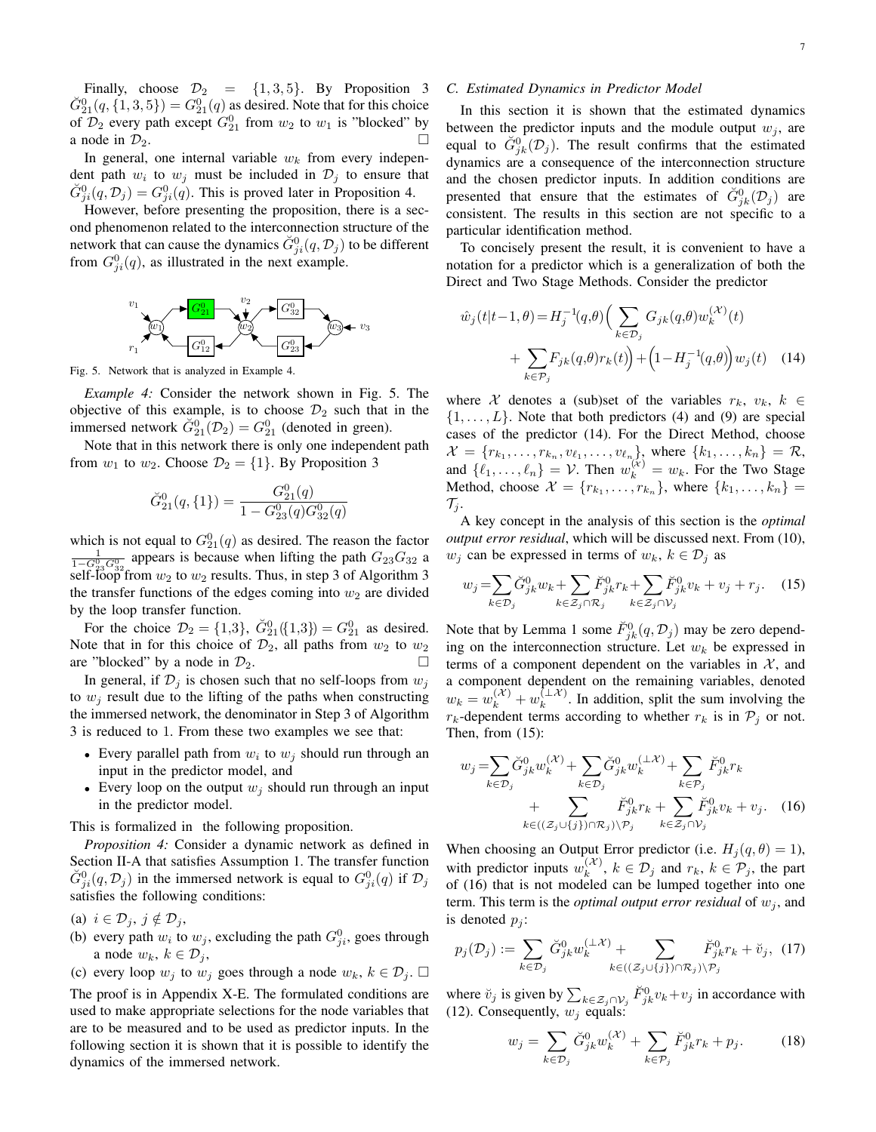Finally, choose  $\mathcal{D}_2 = \{1, 3, 5\}$ . By Proposition 3  $\check{G}_{21}^{0}(q, \{1, 3, 5\}) = G_{21}^{0}(q)$  as desired. Note that for this choice of  $\mathcal{D}_2$  every path except  $G_{21}^0$  from  $w_2$  to  $w_1$  is "blocked" by a node in  $\mathcal{D}_2$ .

In general, one internal variable  $w_k$  from every independent path  $w_i$  to  $w_j$  must be included in  $\mathcal{D}_j$  to ensure that  $\check{G}_{ji}^0(q, \mathcal{D}_j) = G_{ji}^0(q)$ . This is proved later in Proposition 4.

However, before presenting the proposition, there is a second phenomenon related to the interconnection structure of the network that can cause the dynamics  $\check{G}_{ji}^0(q, \mathcal{D}_j)$  to be different from  $G_{ji}^0(q)$ , as illustrated in the next example.



Fig. 5. Network that is analyzed in Example 4.

*Example 4:* Consider the network shown in Fig. 5. The objective of this example, is to choose  $\mathcal{D}_2$  such that in the immersed network  $\check{G}_{21}^{0}(\mathcal{D}_2) = G_{21}^{0}$  (denoted in green).

Note that in this network there is only one independent path from  $w_1$  to  $w_2$ . Choose  $\mathcal{D}_2 = \{1\}$ . By Proposition 3

$$
\check{G}_{21}^0(q,\{1\})=\frac{G_{21}^0(q)}{1-G_{23}^0(q)G_{32}^0(q)}
$$

which is not equal to  $G_{21}^0(q)$  as desired. The reason the factor  $\frac{1}{1-G_{23}^{0}G_{32}^{0}}$  appears is because when lifting the path  $G_{23}G_{32}$  a self-loop from  $w_2$  to  $w_2$  results. Thus, in step 3 of Algorithm 3 the transfer functions of the edges coming into  $w_2$  are divided by the loop transfer function.

For the choice  $\mathcal{D}_2 = \{1,3\}$ ,  $\check{G}_{21}^{0}(\{1,3\}) = G_{21}^{0}$  as desired. Note that in for this choice of  $\mathcal{D}_2$ , all paths from  $w_2$  to  $w_2$ are "blocked" by a node in  $\mathcal{D}_2$ .

In general, if  $\mathcal{D}_i$  is chosen such that no self-loops from  $w_i$ to  $w_i$  result due to the lifting of the paths when constructing the immersed network, the denominator in Step 3 of Algorithm 3 is reduced to 1. From these two examples we see that:

- Every parallel path from  $w_i$  to  $w_j$  should run through an input in the predictor model, and
- Every loop on the output  $w_i$  should run through an input in the predictor model.

This is formalized in the following proposition.

*Proposition 4:* Consider a dynamic network as defined in Section II-A that satisfies Assumption 1. The transfer function  $\check{G}_{ji}^0(q, \mathcal{D}_j)$  in the immersed network is equal to  $G_{ji}^0(q)$  if  $\mathcal{D}_j$ satisfies the following conditions:

(a)  $i \in \mathcal{D}_i, j \notin \mathcal{D}_i$ 

- (b) every path  $w_i$  to  $w_j$ , excluding the path  $G_{ji}^0$ , goes through a node  $w_k, k \in \mathcal{D}_i$ ,
- (c) every loop  $w_j$  to  $w_j$  goes through a node  $w_k$ ,  $k \in \mathcal{D}_j$ .  $\square$

The proof is in Appendix X-E. The formulated conditions are used to make appropriate selections for the node variables that are to be measured and to be used as predictor inputs. In the following section it is shown that it is possible to identify the dynamics of the immersed network.

#### *C. Estimated Dynamics in Predictor Model*

In this section it is shown that the estimated dynamics between the predictor inputs and the module output  $w_j$ , are equal to  $\check{G}_{jk}^{0}(\mathcal{D}_{j})$ . The result confirms that the estimated dynamics are a consequence of the interconnection structure and the chosen predictor inputs. In addition conditions are presented that ensure that the estimates of  $\check{G}^0_{jk}(\mathcal{D}_j)$  are consistent. The results in this section are not specific to a particular identification method.

To concisely present the result, it is convenient to have a notation for a predictor which is a generalization of both the Direct and Two Stage Methods. Consider the predictor

$$
\hat{w}_j(t|t-1,\theta) = H_j^{-1}(q,\theta) \Big( \sum_{k \in \mathcal{D}_j} G_{jk}(q,\theta) w_k^{(\mathcal{X})}(t) + \sum_{k \in \mathcal{P}_j} F_{jk}(q,\theta) r_k(t) \Big) + \Big( 1 - H_j^{-1}(q,\theta) \Big) w_j(t) \quad (14)
$$

where X denotes a (sub)set of the variables  $r_k$ ,  $v_k$ ,  $k \in$  $\{1, \ldots, L\}$ . Note that both predictors (4) and (9) are special cases of the predictor (14). For the Direct Method, choose  $\mathcal{X} = \{r_{k_1}, \ldots, r_{k_n}, v_{\ell_1}, \ldots, v_{\ell_n}\},\$  where  $\{k_1, \ldots, k_n\} = \mathcal{R},\$ and  $\{\ell_1, \ldots, \ell_n\} = \mathcal{V}$ . Then  $w_k^{(\mathcal{X})} = w_k$ . For the Two Stage Method, choose  $\mathcal{X} = \{r_{k_1}, \ldots, r_{k_n}\}\$ , where  $\{k_1, \ldots, k_n\} =$  $\mathcal{T}_i$ .

A key concept in the analysis of this section is the *optimal output error residual*, which will be discussed next. From (10),  $w_i$  can be expressed in terms of  $w_k$ ,  $k \in \mathcal{D}_i$  as

$$
w_j = \sum_{k \in \mathcal{D}_j} \check{G}_{jk}^0 w_k + \sum_{k \in \mathcal{Z}_j \cap \mathcal{R}_j} \check{F}_{jk}^0 r_k + \sum_{k \in \mathcal{Z}_j \cap \mathcal{V}_j} \check{F}_{jk}^0 v_k + v_j + r_j. \tag{15}
$$

Note that by Lemma 1 some  $\check{F}_{jk}^0(q, \mathcal{D}_j)$  may be zero depending on the interconnection structure. Let  $w_k$  be expressed in terms of a component dependent on the variables in  $X$ , and a component dependent on the remaining variables, denoted  $w_k = w_k^{(\mathcal{X})} + w_k^{(\perp \mathcal{X})}$  $\binom{1+\lambda}{k}$ . In addition, split the sum involving the  $r_k$ -dependent terms according to whether  $r_k$  is in  $P_i$  or not. Then, from (15):

$$
w_j = \sum_{k \in \mathcal{D}_j} \breve{G}_{jk}^0 w_k^{(\mathcal{X})} + \sum_{k \in \mathcal{D}_j} \breve{G}_{jk}^0 w_k^{(\mathcal{X})} + \sum_{k \in \mathcal{P}_j} \breve{F}_{jk}^0 r_k + \sum_{k \in (\mathcal{Z}_j \cup \{j\}) \cap \mathcal{R}_j) \setminus \mathcal{P}_j} \breve{F}_{jk}^0 r_k + \sum_{k \in \mathcal{Z}_j \cap \mathcal{V}_j} \breve{F}_{jk}^0 v_k + v_j. \quad (16)
$$

When choosing an Output Error predictor (i.e.  $H_i(q, \theta) = 1$ ), with predictor inputs  $w_k^{(\mathcal{X})}$  $\binom{(\mathcal{A})}{k}$ ,  $k \in \mathcal{D}_j$  and  $r_k$ ,  $k \in \mathcal{P}_j$ , the part of (16) that is not modeled can be lumped together into one term. This term is the *optimal output error residual* of  $w_j$ , and is denoted  $p_i$ :

$$
p_j(\mathcal{D}_j) := \sum_{k \in \mathcal{D}_j} \check{G}_{jk}^0 w_k^{(\perp \mathcal{X})} + \sum_{k \in ((\mathcal{Z}_j \cup \{j\}) \cap \mathcal{R}_j) \setminus \mathcal{P}_j} \check{F}_{jk}^0 r_k + \check{v}_j, \tag{17}
$$

where  $\check{v}_j$  is given by  $\sum_{k \in \mathcal{Z}_j \cap \mathcal{V}_j} \check{F}_{jk}^0 v_k + v_j$  in accordance with (12). Consequently,  $w_i$  equals:

$$
w_j = \sum_{k \in \mathcal{D}_j} \check{G}_{jk}^0 w_k^{(\mathcal{X})} + \sum_{k \in \mathcal{P}_j} \check{F}_{jk}^0 r_k + p_j.
$$
 (18)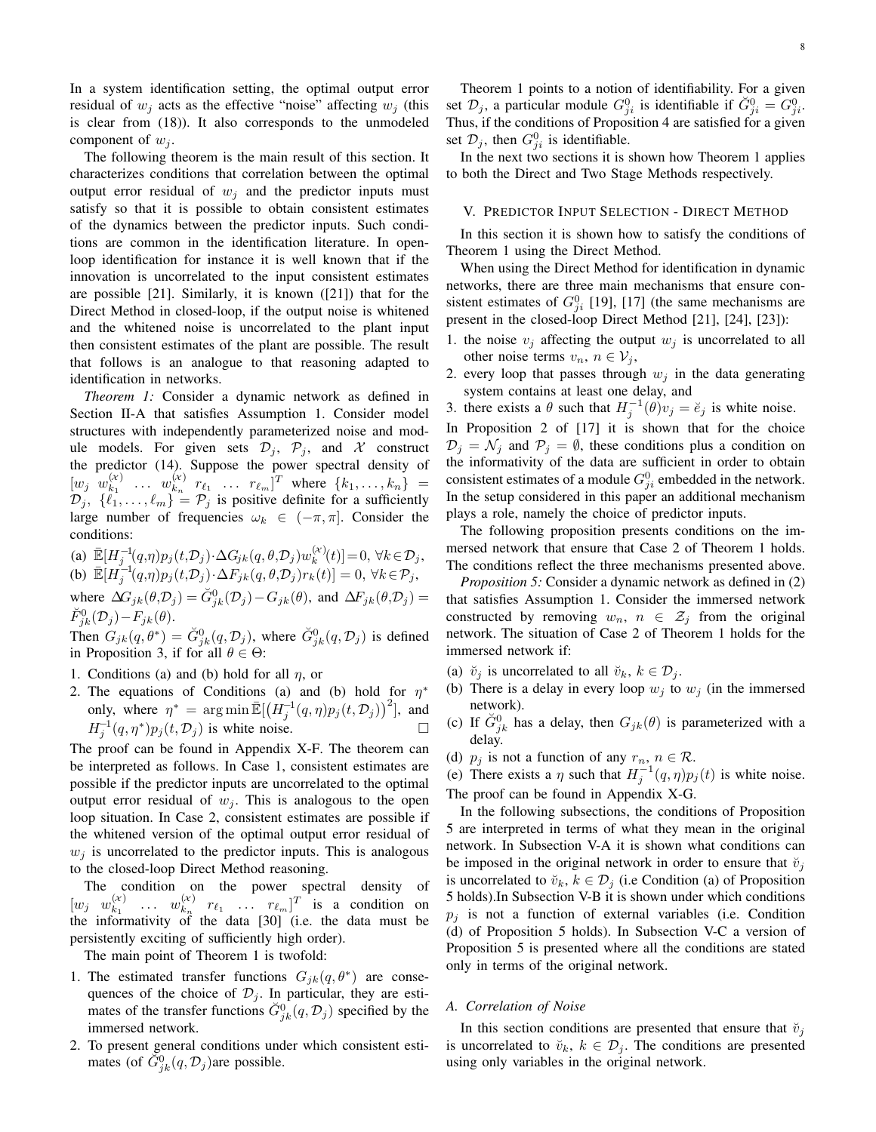In a system identification setting, the optimal output error residual of  $w_i$  acts as the effective "noise" affecting  $w_i$  (this is clear from (18)). It also corresponds to the unmodeled component of  $w_i$ .

The following theorem is the main result of this section. It characterizes conditions that correlation between the optimal output error residual of  $w_i$  and the predictor inputs must satisfy so that it is possible to obtain consistent estimates of the dynamics between the predictor inputs. Such conditions are common in the identification literature. In openloop identification for instance it is well known that if the innovation is uncorrelated to the input consistent estimates are possible [21]. Similarly, it is known ([21]) that for the Direct Method in closed-loop, if the output noise is whitened and the whitened noise is uncorrelated to the plant input then consistent estimates of the plant are possible. The result that follows is an analogue to that reasoning adapted to identification in networks.

*Theorem 1:* Consider a dynamic network as defined in Section II-A that satisfies Assumption 1. Consider model structures with independently parameterized noise and module models. For given sets  $\mathcal{D}_j$ ,  $\mathcal{P}_j$ , and X construct the predictor (14). Suppose the power spectral density of  $\begin{bmatrix} w_j & w_{k_1}^{(\chi)} \end{bmatrix}$  $\begin{matrix}\n(x) \\
k_1 \end{matrix}$  ...  $w_{k_n}^{(\mathcal{X})}$  $\begin{array}{cc} (k) & r_{\ell_1} & \ldots & r_{\ell_m} \end{array}$  where  $\{k_1, \ldots, k_n\}$  =  $\mathcal{D}_j, \{\vec{\ell}_1, \ldots, \vec{\ell}_m\} = \mathcal{P}_j$  is positive definite for a sufficiently large number of frequencies  $\omega_k \in (-\pi, \pi]$ . Consider the conditions:

(a)  $\mathbb{E}[H_j^{-1}(q,\eta)p_j(t,\mathcal{D}_j)\cdot\Delta G_{jk}(q,\theta,\mathcal{D}_j)w_k^{(\mathcal{X})}]$  $\mathbf{E}_{k}^{(\mathcal{X})}(t)$ ] = 0,  $\forall k \in \mathcal{D}_j$ , (b)  $\mathbb{E}[H_j^{-1}(q,\eta)p_j(t,\mathcal{D}_j)\cdot\Delta F_{jk}(q,\theta,\mathcal{D}_j)r_k(t)]=0, \forall k\in\mathcal{P}_j,$ where  $\Delta G_{jk}(\theta, \mathcal{D}_j) = \breve{G}_{jk}^0(\mathcal{D}_j) - G_{jk}(\theta)$ , and  $\Delta F_{jk}(\theta, \mathcal{D}_j) =$  $\breve{F}_{jk}^{0}(\mathcal{D}_{j})-F_{jk}(\theta).$ 

Then  $G_{jk}(q, \theta^*) = \check{G}_{jk}^0(q, \mathcal{D}_j)$ , where  $\check{G}_{jk}^0(q, \mathcal{D}_j)$  is defined in Proposition 3, if for all  $\theta \in \Theta$ :

- 1. Conditions (a) and (b) hold for all  $\eta$ , or
- 2. The equations of Conditions (a) and (b) hold for  $\eta^*$ only, where  $\eta^* = \arg \min \mathbb{E}[(H_j^{-1}(q, \eta)p_j(t, \mathcal{D}_j))^2]$ , and  $H_j^{-1}(q, \eta^*)p_j(t, \mathcal{D}_j)$  is white noise.

The proof can be found in Appendix X-F. The theorem can be interpreted as follows. In Case 1, consistent estimates are possible if the predictor inputs are uncorrelated to the optimal output error residual of  $w_i$ . This is analogous to the open loop situation. In Case 2, consistent estimates are possible if the whitened version of the optimal output error residual of  $w_i$  is uncorrelated to the predictor inputs. This is analogous to the closed-loop Direct Method reasoning.

The condition on the power spectral density of  $\begin{bmatrix} w_j & w_{k_1}^{(\chi)} \end{bmatrix}$  $\begin{matrix} (x) & \dots & w_{k_n}^{(\chi)} \end{matrix}$  $\begin{bmatrix} (x) & r_{\ell_1} & \dots & r_{\ell_m} \end{bmatrix}^T$  is a condition on the informativity of the data [30] (i.e. the data must be persistently exciting of sufficiently high order).

The main point of Theorem 1 is twofold:

- 1. The estimated transfer functions  $G_{jk}(q, \theta^*)$  are consequences of the choice of  $\mathcal{D}_j$ . In particular, they are estimates of the transfer functions  $\check{G}_{jk}^0(q, \mathcal{D}_j)$  specified by the immersed network.
- 2. To present general conditions under which consistent estimates (of  $\check{G}^0_{jk}(q, \mathcal{D}_j)$ are possible.

Theorem 1 points to a notion of identifiability. For a given set  $\mathcal{D}_j$ , a particular module  $G_{ji}^0$  is identifiable if  $\check{G}_{ji}^0 = G_{ji}^0$ . Thus, if the conditions of Proposition 4 are satisfied for a given set  $\mathcal{D}_j$ , then  $G_{ji}^0$  is identifiable.

In the next two sections it is shown how Theorem 1 applies to both the Direct and Two Stage Methods respectively.

#### V. PREDICTOR INPUT SELECTION - DIRECT METHOD

In this section it is shown how to satisfy the conditions of Theorem 1 using the Direct Method.

When using the Direct Method for identification in dynamic networks, there are three main mechanisms that ensure consistent estimates of  $G_{ji}^0$  [19], [17] (the same mechanisms are present in the closed-loop Direct Method [21], [24], [23]):

- 1. the noise  $v_j$  affecting the output  $w_j$  is uncorrelated to all other noise terms  $v_n$ ,  $n \in V_j$ ,
- 2. every loop that passes through  $w_j$  in the data generating system contains at least one delay, and
- 3. there exists a  $\theta$  such that  $H_j^{-1}(\theta)v_j = \breve{e}_j$  is white noise.

In Proposition 2 of [17] it is shown that for the choice  $\mathcal{D}_j = \mathcal{N}_j$  and  $\mathcal{P}_j = \emptyset$ , these conditions plus a condition on the informativity of the data are sufficient in order to obtain consistent estimates of a module  $G_{ji}^0$  embedded in the network. In the setup considered in this paper an additional mechanism plays a role, namely the choice of predictor inputs.

The following proposition presents conditions on the immersed network that ensure that Case 2 of Theorem 1 holds. The conditions reflect the three mechanisms presented above.

*Proposition 5:* Consider a dynamic network as defined in (2) that satisfies Assumption 1. Consider the immersed network constructed by removing  $w_n$ ,  $n \in \mathcal{Z}_i$  from the original network. The situation of Case 2 of Theorem 1 holds for the immersed network if:

- (a)  $\check{v}_i$  is uncorrelated to all  $\check{v}_k$ ,  $k \in \mathcal{D}_i$ .
- (b) There is a delay in every loop  $w_i$  to  $w_j$  (in the immersed network).
- (c) If  $\check{G}_{jk}^0$  has a delay, then  $G_{jk}(\theta)$  is parameterized with a delay.
- (d)  $p_j$  is not a function of any  $r_n$ ,  $n \in \mathcal{R}$ .

(e) There exists a  $\eta$  such that  $H_j^{-1}(q, \eta)p_j(t)$  is white noise. The proof can be found in Appendix X-G.

In the following subsections, the conditions of Proposition 5 are interpreted in terms of what they mean in the original network. In Subsection V-A it is shown what conditions can be imposed in the original network in order to ensure that  $\check{v}_i$ is uncorrelated to  $\breve{v}_k$ ,  $k \in \mathcal{D}_j$  (i.e Condition (a) of Proposition 5 holds).In Subsection V-B it is shown under which conditions  $p_i$  is not a function of external variables (i.e. Condition (d) of Proposition 5 holds). In Subsection V-C a version of Proposition 5 is presented where all the conditions are stated only in terms of the original network.

#### *A. Correlation of Noise*

In this section conditions are presented that ensure that  $\breve{v}_j$ is uncorrelated to  $\breve{v}_k$ ,  $k \in \mathcal{D}_i$ . The conditions are presented using only variables in the original network.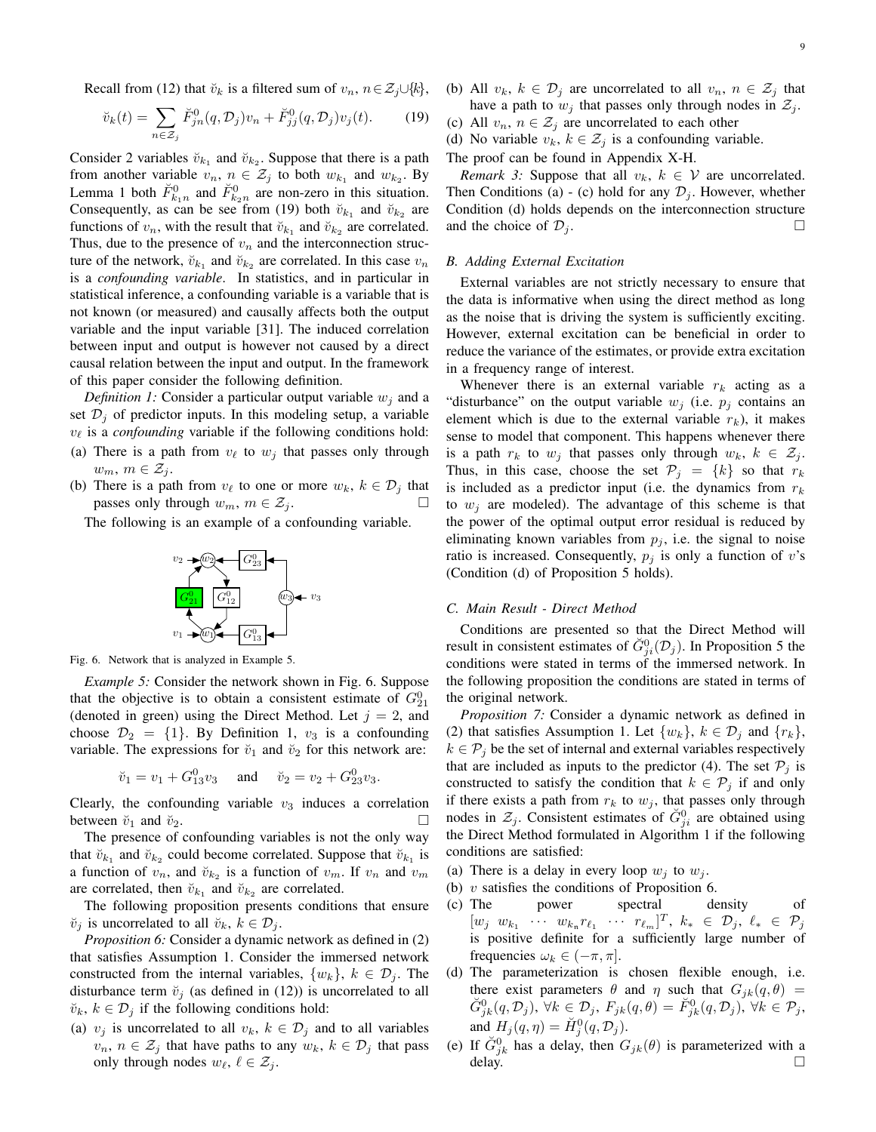Recall from (12) that  $\breve{v}_k$  is a filtered sum of  $v_n, n \in \mathcal{Z}_i \cup \{k\},\$ 

$$
\breve{v}_k(t) = \sum_{n \in \mathcal{Z}_j} \breve{F}_{jn}^0(q, \mathcal{D}_j)v_n + \breve{F}_{jj}^0(q, \mathcal{D}_j)v_j(t).
$$
 (19)

Consider 2 variables  $\breve{v}_{k_1}$  and  $\breve{v}_{k_2}$ . Suppose that there is a path from another variable  $v_n$ ,  $n \in \mathcal{Z}_j$  to both  $w_{k_1}$  and  $w_{k_2}$ . By Lemma 1 both  $\check{F}_{k_1n}^0$  and  $\check{F}_{k_2n}^0$  are non-zero in this situation. Consequently, as can be see from (19) both  $\check{v}_{k_1}$  and  $\check{v}_{k_2}$  are functions of  $v_n$ , with the result that  $\breve{v}_{k_1}$  and  $\breve{v}_{k_2}$  are correlated. Thus, due to the presence of  $v_n$  and the interconnection structure of the network,  $\breve{v}_{k_1}$  and  $\breve{v}_{k_2}$  are correlated. In this case  $v_n$ is a *confounding variable*. In statistics, and in particular in statistical inference, a confounding variable is a variable that is not known (or measured) and causally affects both the output variable and the input variable [31]. The induced correlation between input and output is however not caused by a direct causal relation between the input and output. In the framework of this paper consider the following definition.

*Definition 1:* Consider a particular output variable  $w_i$  and a set  $\mathcal{D}_i$  of predictor inputs. In this modeling setup, a variable  $v_{\ell}$  is a *confounding* variable if the following conditions hold:

- (a) There is a path from  $v_\ell$  to  $w_i$  that passes only through  $w_m, m \in \mathcal{Z}_i$ .
- (b) There is a path from  $v_{\ell}$  to one or more  $w_k, k \in \mathcal{D}_i$  that passes only through  $w_m$ ,  $m \in \mathcal{Z}_i$ .

The following is an example of a confounding variable.



Fig. 6. Network that is analyzed in Example 5.

*Example 5:* Consider the network shown in Fig. 6. Suppose that the objective is to obtain a consistent estimate of  $G_{21}^0$ (denoted in green) using the Direct Method. Let  $j = 2$ , and choose  $\mathcal{D}_2 = \{1\}$ . By Definition 1,  $v_3$  is a confounding variable. The expressions for  $\check{v}_1$  and  $\check{v}_2$  for this network are:

$$
\breve{v}_1 = v_1 + G_{13}^0 v_3
$$
 and  $\breve{v}_2 = v_2 + G_{23}^0 v_3$ .

Clearly, the confounding variable  $v_3$  induces a correlation between  $\breve{v}_1$  and  $\breve{v}_2$ .

The presence of confounding variables is not the only way that  $\breve{v}_{k_1}$  and  $\breve{v}_{k_2}$  could become correlated. Suppose that  $\breve{v}_{k_1}$  is a function of  $v_n$ , and  $\breve{v}_{k_2}$  is a function of  $v_m$ . If  $v_n$  and  $v_m$ are correlated, then  $\breve{v}_{k_1}$  and  $\breve{v}_{k_2}$  are correlated.

The following proposition presents conditions that ensure  $\breve{v}_i$  is uncorrelated to all  $\breve{v}_k$ ,  $k \in \mathcal{D}_i$ .

*Proposition 6:* Consider a dynamic network as defined in (2) that satisfies Assumption 1. Consider the immersed network constructed from the internal variables,  $\{w_k\}$ ,  $k \in \mathcal{D}_j$ . The disturbance term  $\breve{v}_i$  (as defined in (12)) is uncorrelated to all  $\breve{v}_k, k \in \mathcal{D}_i$  if the following conditions hold:

(a)  $v_j$  is uncorrelated to all  $v_k$ ,  $k \in \mathcal{D}_j$  and to all variables  $v_n, n \in \mathcal{Z}_i$  that have paths to any  $w_k, k \in \mathcal{D}_i$  that pass only through nodes  $w_{\ell}, \ell \in \mathcal{Z}_i$ .

(b) All  $v_k$ ,  $k \in \mathcal{D}_i$  are uncorrelated to all  $v_n$ ,  $n \in \mathcal{Z}_i$  that have a path to  $w_j$  that passes only through nodes in  $\mathcal{Z}_j$ .

(c) All  $v_n$ ,  $n \in \mathcal{Z}_i$  are uncorrelated to each other

(d) No variable  $v_k$ ,  $k \in \mathcal{Z}_j$  is a confounding variable.

The proof can be found in Appendix X-H.

*Remark 3:* Suppose that all  $v_k$ ,  $k \in V$  are uncorrelated. Then Conditions (a) - (c) hold for any  $\mathcal{D}_i$ . However, whether Condition (d) holds depends on the interconnection structure and the choice of  $\mathcal{D}_i$ .

# *B. Adding External Excitation*

External variables are not strictly necessary to ensure that the data is informative when using the direct method as long as the noise that is driving the system is sufficiently exciting. However, external excitation can be beneficial in order to reduce the variance of the estimates, or provide extra excitation in a frequency range of interest.

Whenever there is an external variable  $r_k$  acting as a "disturbance" on the output variable  $w_i$  (i.e.  $p_i$  contains an element which is due to the external variable  $r_k$ ), it makes sense to model that component. This happens whenever there is a path  $r_k$  to  $w_j$  that passes only through  $w_k$ ,  $k \in \mathcal{Z}_j$ . Thus, in this case, choose the set  $\mathcal{P}_j = \{k\}$  so that  $r_k$ is included as a predictor input (i.e. the dynamics from  $r_k$ to  $w_i$  are modeled). The advantage of this scheme is that the power of the optimal output error residual is reduced by eliminating known variables from  $p_j$ , i.e. the signal to noise ratio is increased. Consequently,  $p_j$  is only a function of v's (Condition (d) of Proposition 5 holds).

#### *C. Main Result - Direct Method*

Conditions are presented so that the Direct Method will result in consistent estimates of  $\check{G}_{ji}^{0}(\mathcal{D}_j)$ . In Proposition 5 the conditions were stated in terms of the immersed network. In the following proposition the conditions are stated in terms of the original network.

*Proposition 7:* Consider a dynamic network as defined in (2) that satisfies Assumption 1. Let  $\{w_k\}$ ,  $k \in \mathcal{D}_j$  and  $\{r_k\}$ ,  $k \in \mathcal{P}_i$  be the set of internal and external variables respectively that are included as inputs to the predictor (4). The set  $P_j$  is constructed to satisfy the condition that  $k \in \mathcal{P}_j$  if and only if there exists a path from  $r_k$  to  $w_j$ , that passes only through nodes in  $\mathcal{Z}_j$ . Consistent estimates of  $\check{G}_{ji}^0$  are obtained using the Direct Method formulated in Algorithm 1 if the following conditions are satisfied:

- (a) There is a delay in every loop  $w_i$  to  $w_i$ .
- (b)  $v$  satisfies the conditions of Proposition 6.
- (c) The power spectral density of  $[w_j \ w_{k_1} \ \cdots \ w_{k_n} r_{\ell_1} \ \cdots \ r_{\ell_m}]^T$ ,  $k_* \in \mathcal{D}_j$ ,  $\ell_* \ \in \ \mathcal{P}_j$ is positive definite for a sufficiently large number of frequencies  $\omega_k \in (-\pi, \pi]$ .
- (d) The parameterization is chosen flexible enough, i.e. there exist parameters  $\theta$  and  $\eta$  such that  $G_{ik}(q, \theta)$  =  $\breve{G}^0_{jk}(q, \mathcal{D}_j), \ \forall k \in \mathcal{D}_j, \ F_{jk}(q, \theta) = \breve{F}^0_{jk}(q, \mathcal{D}_j), \ \forall k \in \mathcal{P}_j,$ and  $H_j(q, \eta) = \check{H}_j^0(q, \mathcal{D}_j)$ .
- (e) If  $\check{G}_{jk}^0$  has a delay, then  $G_{jk}(\theta)$  is parameterized with a delay.  $\Box$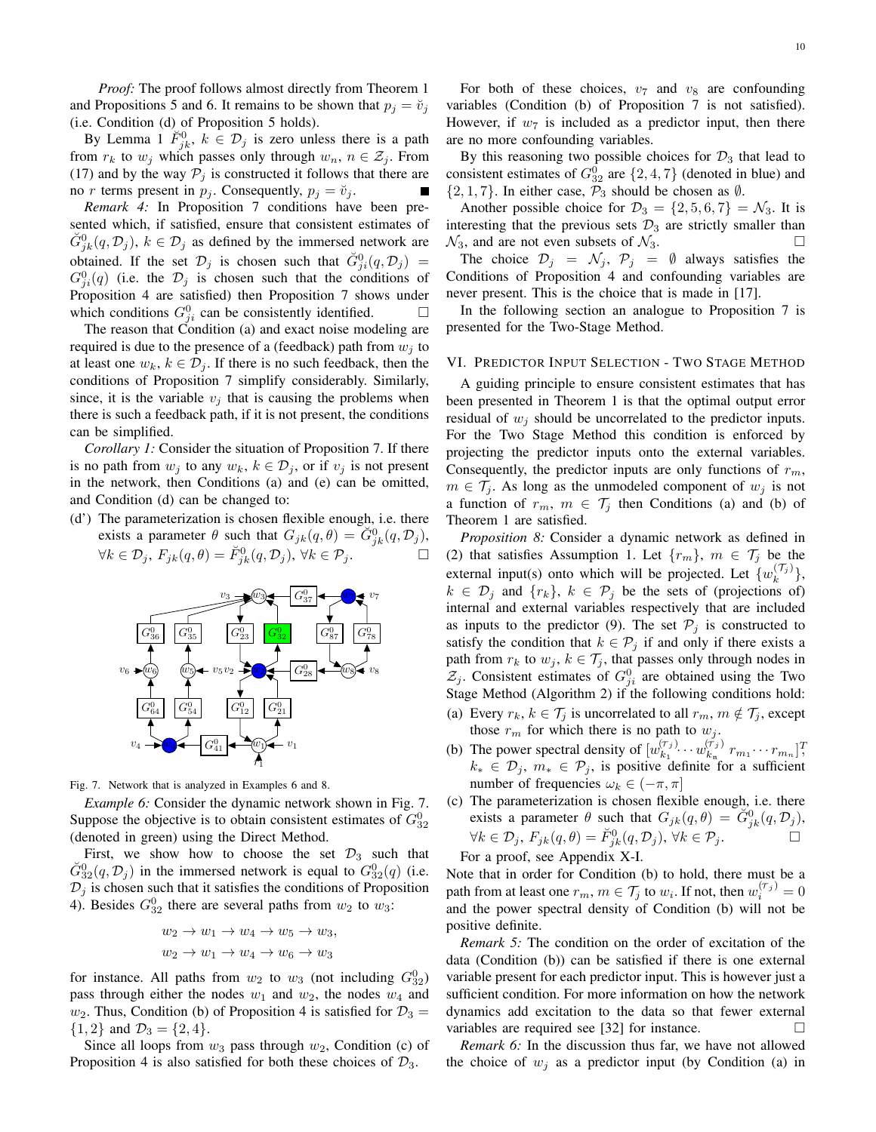*Proof:* The proof follows almost directly from Theorem 1 and Propositions 5 and 6. It remains to be shown that  $p_i = \breve{v}_i$ (i.e. Condition (d) of Proposition 5 holds).

By Lemma 1  $\tilde{F}_{jk}^0$ ,  $k \in \mathcal{D}_j$  is zero unless there is a path from  $r_k$  to  $w_j$  which passes only through  $w_n$ ,  $n \in \mathcal{Z}_j$ . From (17) and by the way  $P_j$  is constructed it follows that there are no r terms present in  $p_i$ . Consequently,  $p_i = \breve{v}_i$ .

*Remark 4:* In Proposition 7 conditions have been presented which, if satisfied, ensure that consistent estimates of  $\check{G}_{jk}^{0}(q, \mathcal{D}_{j}), k \in \mathcal{D}_{j}$  as defined by the immersed network are obtained. If the set  $\mathcal{D}_j$  is chosen such that  $\check{G}_{ji}^0(q, \mathcal{D}_j)$  =  $G_{ji}^0(q)$  (i.e. the  $\mathcal{D}_j$  is chosen such that the conditions of Proposition 4 are satisfied) then Proposition 7 shows under which conditions  $G_{ji}^0$  can be consistently identified.  $\Box$ 

The reason that Condition (a) and exact noise modeling are required is due to the presence of a (feedback) path from  $w_i$  to at least one  $w_k$ ,  $k \in \mathcal{D}_i$ . If there is no such feedback, then the conditions of Proposition 7 simplify considerably. Similarly, since, it is the variable  $v_i$  that is causing the problems when there is such a feedback path, if it is not present, the conditions can be simplified.

*Corollary 1:* Consider the situation of Proposition 7. If there is no path from  $w_j$  to any  $w_k$ ,  $k \in \mathcal{D}_j$ , or if  $v_j$  is not present in the network, then Conditions (a) and (e) can be omitted, and Condition (d) can be changed to:

(d') The parameterization is chosen flexible enough, i.e. there exists a parameter  $\theta$  such that  $G_{jk}(q, \theta) = \check{G}_{jk}^0(q, \mathcal{D}_j)$ ,  $\forall k \in \mathcal{D}_j, F_{jk}(q, \theta) = \breve{F}_{jk}^0(q, \mathcal{D}_j), \ \forall k \in \mathcal{P}_j.$ 



Fig. 7. Network that is analyzed in Examples 6 and 8.

*Example 6:* Consider the dynamic network shown in Fig. 7. Suppose the objective is to obtain consistent estimates of  $G_{32}^0$ (denoted in green) using the Direct Method.

First, we show how to choose the set  $\mathcal{D}_3$  such that  $\check{G}_{32}^{0}(q, \mathcal{D}_j)$  in the immersed network is equal to  $G_{32}^{0}(q)$  (i.e.  $\mathcal{D}_j$  is chosen such that it satisfies the conditions of Proposition 4). Besides  $G_{32}^0$  there are several paths from  $w_2$  to  $w_3$ :

$$
w_2 \to w_1 \to w_4 \to w_5 \to w_3,
$$
  

$$
w_2 \to w_1 \to w_4 \to w_6 \to w_3
$$

for instance. All paths from  $w_2$  to  $w_3$  (not including  $G_{32}^0$ ) pass through either the nodes  $w_1$  and  $w_2$ , the nodes  $w_4$  and  $w_2$ . Thus, Condition (b) of Proposition 4 is satisfied for  $\mathcal{D}_3 =$  $\{1,2\}$  and  $\mathcal{D}_3 = \{2,4\}.$ 

Since all loops from  $w_3$  pass through  $w_2$ , Condition (c) of Proposition 4 is also satisfied for both these choices of  $\mathcal{D}_3$ .

For both of these choices,  $v_7$  and  $v_8$  are confounding variables (Condition (b) of Proposition 7 is not satisfied). However, if  $w_7$  is included as a predictor input, then there are no more confounding variables.

By this reasoning two possible choices for  $\mathcal{D}_3$  that lead to consistent estimates of  $G_{32}^0$  are  $\{2, 4, 7\}$  (denoted in blue) and  $\{2, 1, 7\}$ . In either case,  $\mathcal{P}_3$  should be chosen as  $\emptyset$ .

Another possible choice for  $\mathcal{D}_3 = \{2, 5, 6, 7\} = \mathcal{N}_3$ . It is interesting that the previous sets  $\mathcal{D}_3$  are strictly smaller than  $\mathcal{N}_3$ , and are not even subsets of  $\mathcal{N}_3$ . The choice  $\mathcal{D}_j = \mathcal{N}_j$ ,  $\mathcal{P}_j = \emptyset$  always satisfies the

Conditions of Proposition 4 and confounding variables are never present. This is the choice that is made in [17].

In the following section an analogue to Proposition 7 is presented for the Two-Stage Method.

### VI. PREDICTOR INPUT SELECTION - TWO STAGE METHOD

A guiding principle to ensure consistent estimates that has been presented in Theorem 1 is that the optimal output error residual of  $w_i$  should be uncorrelated to the predictor inputs. For the Two Stage Method this condition is enforced by projecting the predictor inputs onto the external variables. Consequently, the predictor inputs are only functions of  $r_m$ ,  $m \in \mathcal{T}_j$ . As long as the unmodeled component of  $w_j$  is not a function of  $r_m$ ,  $m \in \mathcal{T}_j$  then Conditions (a) and (b) of Theorem 1 are satisfied.

*Proposition 8:* Consider a dynamic network as defined in (2) that satisfies Assumption 1. Let  $\{r_m\}$ ,  $m \in \mathcal{T}_j$  be the external input(s) onto which will be projected. Let  $\{w_k^{(\mathcal{T}_j)}\},\$  $k \in \mathcal{D}_j$  and  $\{r_k\}, k \in \mathcal{P}_j$  be the sets of (projections of) internal and external variables respectively that are included as inputs to the predictor (9). The set  $\mathcal{P}_j$  is constructed to satisfy the condition that  $k \in \mathcal{P}_j$  if and only if there exists a path from  $r_k$  to  $w_j$ ,  $k \in \mathcal{T}_j$ , that passes only through nodes in  $\mathcal{Z}_j$ . Consistent estimates of  $G_{ji}^0$  are obtained using the Two Stage Method (Algorithm 2) if the following conditions hold:

- (a) Every  $r_k, k \in \mathcal{T}_j$  is uncorrelated to all  $r_m, m \notin \mathcal{T}_j$ , except those  $r_m$  for which there is no path to  $w_j$ .
- (b) The power spectral density of  $[w_{k_1}^{(\tau_j)}]$  $\begin{matrix}(\tau_{j})_{k_{1}}\cdots w^{(\tau_{j})}_{k_{n}}\end{matrix}$  $\binom{(\tau_j)}{k_{\rm n}} r_{m_1} \cdots r_{m_n}$ ]<sup>T</sup>,  $k_* \in \mathcal{D}_j$ ,  $m_* \in \mathcal{P}_j$ , is positive definite for a sufficient number of frequencies  $\omega_k \in (-\pi, \pi]$
- (c) The parameterization is chosen flexible enough, i.e. there exists a parameter  $\theta$  such that  $G_{jk}(q, \theta) = \check{G}_{jk}^0(q, \mathcal{D}_j)$ ,  $\forall k \in \mathcal{D}_j, F_{jk}(q, \theta) = \breve{F}_{jk}^0(q, \mathcal{D}_j), \ \forall k \in \mathcal{P}_j.$

For a proof, see Appendix X-I.

Note that in order for Condition (b) to hold, there must be a path from at least one  $r_m, m \in \mathcal{T}_j$  to  $w_i$ . If not, then  $w_i^{(\mathcal{T}_j)} = 0$ and the power spectral density of Condition (b) will not be positive definite.

*Remark 5:* The condition on the order of excitation of the data (Condition (b)) can be satisfied if there is one external variable present for each predictor input. This is however just a sufficient condition. For more information on how the network dynamics add excitation to the data so that fewer external variables are required see [32] for instance.

*Remark 6:* In the discussion thus far, we have not allowed the choice of  $w_i$  as a predictor input (by Condition (a) in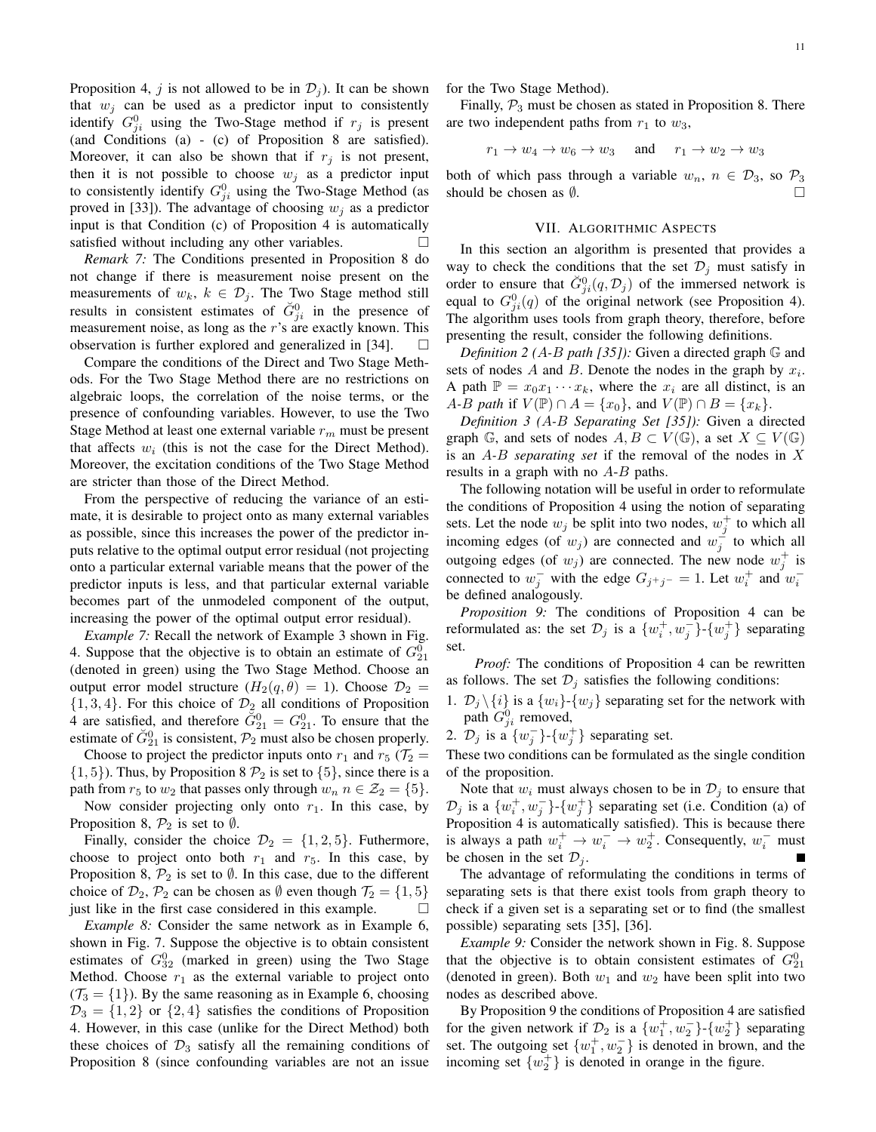Proposition 4, j is not allowed to be in  $\mathcal{D}_i$ ). It can be shown that  $w_j$  can be used as a predictor input to consistently identify  $G_{ji}^0$  using the Two-Stage method if  $r_j$  is present (and Conditions (a) - (c) of Proposition 8 are satisfied). Moreover, it can also be shown that if  $r_i$  is not present, then it is not possible to choose  $w_i$  as a predictor input to consistently identify  $G_{ji}^0$  using the Two-Stage Method (as proved in [33]). The advantage of choosing  $w_i$  as a predictor input is that Condition (c) of Proposition 4 is automatically satisfied without including any other variables.

*Remark 7:* The Conditions presented in Proposition 8 do not change if there is measurement noise present on the measurements of  $w_k$ ,  $k \in \mathcal{D}_j$ . The Two Stage method still results in consistent estimates of  $\check{G}_{ji}^0$  in the presence of measurement noise, as long as the  $r$ 's are exactly known. This observation is further explored and generalized in [34].  $\Box$ 

Compare the conditions of the Direct and Two Stage Methods. For the Two Stage Method there are no restrictions on algebraic loops, the correlation of the noise terms, or the presence of confounding variables. However, to use the Two Stage Method at least one external variable  $r_m$  must be present that affects  $w_i$  (this is not the case for the Direct Method). Moreover, the excitation conditions of the Two Stage Method are stricter than those of the Direct Method.

From the perspective of reducing the variance of an estimate, it is desirable to project onto as many external variables as possible, since this increases the power of the predictor inputs relative to the optimal output error residual (not projecting onto a particular external variable means that the power of the predictor inputs is less, and that particular external variable becomes part of the unmodeled component of the output, increasing the power of the optimal output error residual).

*Example 7:* Recall the network of Example 3 shown in Fig. 4. Suppose that the objective is to obtain an estimate of  $G_{21}^0$ (denoted in green) using the Two Stage Method. Choose an output error model structure  $(H_2(q, \theta) = 1)$ . Choose  $\mathcal{D}_2$  $\{1, 3, 4\}$ . For this choice of  $\mathcal{D}_2$  all conditions of Proposition 4 are satisfied, and therefore  $\check{G}_{21}^0 = G_{21}^0$ . To ensure that the estimate of  $\check{G}_{21}^0$  is consistent,  $\mathcal{P}_2$  must also be chosen properly.

Choose to project the predictor inputs onto  $r_1$  and  $r_5$  ( $\mathcal{T}_2$  =  $\{1, 5\}$ ). Thus, by Proposition 8  $\mathcal{P}_2$  is set to  $\{5\}$ , since there is a path from  $r_5$  to  $w_2$  that passes only through  $w_n$   $n \in \mathcal{Z}_2 = \{5\}.$ Now consider projecting only onto  $r_1$ . In this case, by

Proposition 8,  $\mathcal{P}_2$  is set to  $\emptyset$ .

Finally, consider the choice  $\mathcal{D}_2 = \{1, 2, 5\}$ . Futhermore, choose to project onto both  $r_1$  and  $r_5$ . In this case, by Proposition 8,  $\mathcal{P}_2$  is set to  $\emptyset$ . In this case, due to the different choice of  $\mathcal{D}_2$ ,  $\mathcal{P}_2$  can be chosen as  $\emptyset$  even though  $\mathcal{T}_2 = \{1, 5\}$ just like in the first case considered in this example.  $\Box$ 

*Example 8:* Consider the same network as in Example 6, shown in Fig. 7. Suppose the objective is to obtain consistent estimates of  $G_{32}^0$  (marked in green) using the Two Stage Method. Choose  $r_1$  as the external variable to project onto  $(\mathcal{T}_3 = \{1\})$ . By the same reasoning as in Example 6, choosing  $\mathcal{D}_3 = \{1, 2\}$  or  $\{2, 4\}$  satisfies the conditions of Proposition 4. However, in this case (unlike for the Direct Method) both these choices of  $\mathcal{D}_3$  satisfy all the remaining conditions of Proposition 8 (since confounding variables are not an issue for the Two Stage Method).

Finally,  $P_3$  must be chosen as stated in Proposition 8. There are two independent paths from  $r_1$  to  $w_3$ ,

$$
r_1 \to w_4 \to w_6 \to w_3 \quad \text{and} \quad r_1 \to w_2 \to w_3
$$

both of which pass through a variable  $w_n$ ,  $n \in \mathcal{D}_3$ , so  $\mathcal{P}_3$ should be chosen as  $\emptyset$ .

# VII. ALGORITHMIC ASPECTS

In this section an algorithm is presented that provides a way to check the conditions that the set  $\mathcal{D}_j$  must satisfy in order to ensure that  $\check{G}_{ji}^{0}(q, \mathcal{D}_j)$  of the immersed network is equal to  $G_{ji}^0(q)$  of the original network (see Proposition 4). The algorithm uses tools from graph theory, therefore, before presenting the result, consider the following definitions.

*Definition 2 (*A*-*B *path [35]):* Given a directed graph G and sets of nodes A and B. Denote the nodes in the graph by  $x_i$ . A path  $\mathbb{P} = x_0 x_1 \cdots x_k$ , where the  $x_i$  are all distinct, is an *A*-*B path* if  $V(\mathbb{P}) \cap A = \{x_0\}$ , and  $V(\mathbb{P}) \cap B = \{x_k\}$ .

*Definition 3 (*A*-*B *Separating Set [35]):* Given a directed graph G, and sets of nodes  $A, B \subset V(\mathbb{G})$ , a set  $X \subseteq V(\mathbb{G})$ is an A*-*B *separating set* if the removal of the nodes in X results in a graph with no  $A$ - $B$  paths.

The following notation will be useful in order to reformulate the conditions of Proposition 4 using the notion of separating sets. Let the node  $w_j$  be split into two nodes,  $w_j^+$  to which all incoming edges (of  $w_j$ ) are connected and  $w_j^{\perp}$  to which all outgoing edges (of  $w_j$ ) are connected. The new node  $w_j^+$  is connected to  $w_j^-$  with the edge  $G_{j^+j^-} = 1$ . Let  $w_i^+$  and  $w_i^$ be defined analogously.

*Proposition 9:* The conditions of Proposition 4 can be reformulated as: the set  $\mathcal{D}_j$  is a  $\{w_i^+, w_j^-\}$ - $\{w_j^+\}$  separating set.

*Proof:* The conditions of Proposition 4 can be rewritten as follows. The set  $\mathcal{D}_i$  satisfies the following conditions:

1.  $\mathcal{D}_j \setminus \{i\}$  is a  $\{w_i\}$ - $\{w_j\}$  separating set for the network with path  $G_{ji}^0$  removed,

2.  $\mathcal{D}_j$  is a  $\{w_j^-\}$ - $\{w_j^+\}$  separating set.

These two conditions can be formulated as the single condition of the proposition.

Note that  $w_i$  must always chosen to be in  $\mathcal{D}_i$  to ensure that  $\mathcal{D}_j$  is a  $\{w_i^+, w_j^-\}$ - $\{w_j^+\}$  separating set (i.e. Condition (a) of Proposition 4 is automatically satisfied). This is because there is always a path  $w_i^+ \to w_i^- \to w_2^+$ . Consequently,  $w_i^-$  must be chosen in the set  $\mathcal{D}_i$ .

The advantage of reformulating the conditions in terms of separating sets is that there exist tools from graph theory to check if a given set is a separating set or to find (the smallest possible) separating sets [35], [36].

*Example 9:* Consider the network shown in Fig. 8. Suppose that the objective is to obtain consistent estimates of  $G_{21}^0$ (denoted in green). Both  $w_1$  and  $w_2$  have been split into two nodes as described above.

By Proposition 9 the conditions of Proposition 4 are satisfied for the given network if  $\mathcal{D}_2$  is a  $\{w_1^+, w_2^-\}\$  separating set. The outgoing set  $\{w_1^+, w_2^-\}$  is denoted in brown, and the incoming set  $\{w_2^+\}$  is denoted in orange in the figure.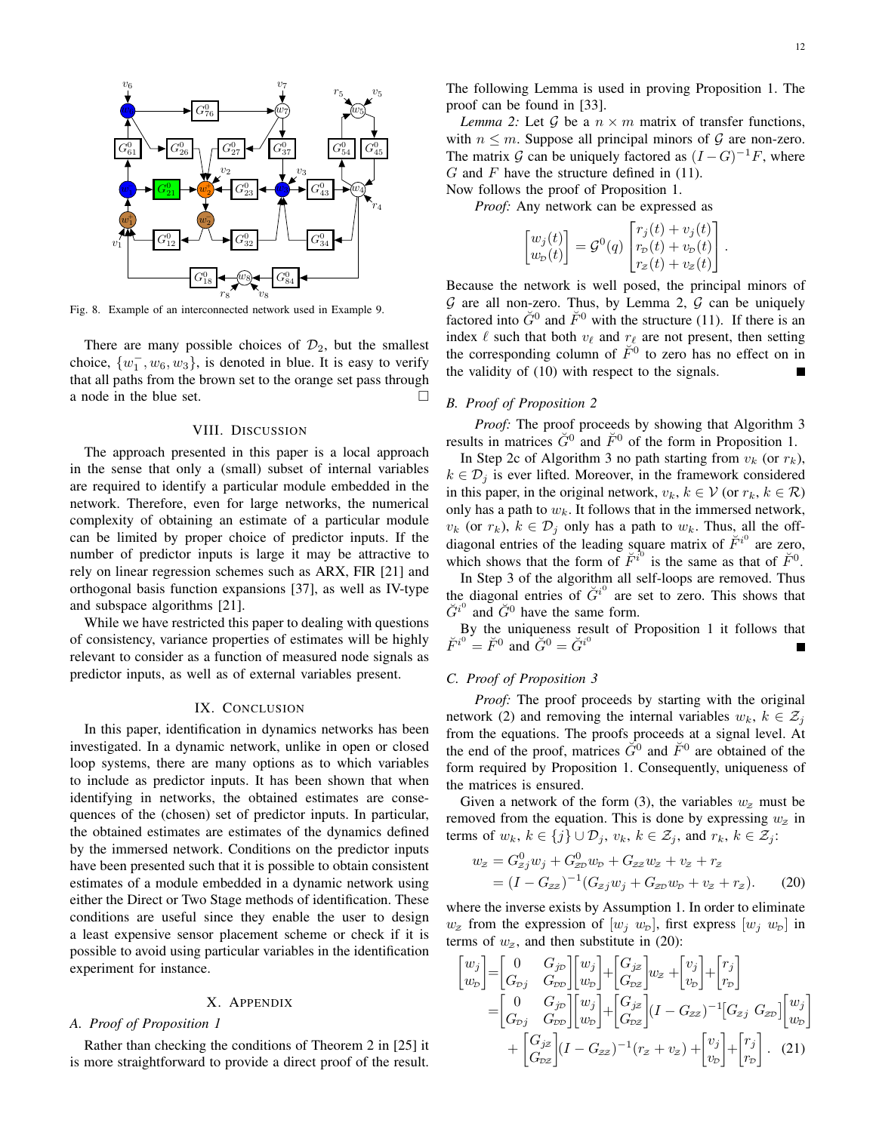

Fig. 8. Example of an interconnected network used in Example 9.

There are many possible choices of  $\mathcal{D}_2$ , but the smallest choice,  $\{w_1^-, w_6, w_3\}$ , is denoted in blue. It is easy to verify that all paths from the brown set to the orange set pass through a node in the blue set.

#### VIII. DISCUSSION

The approach presented in this paper is a local approach in the sense that only a (small) subset of internal variables are required to identify a particular module embedded in the network. Therefore, even for large networks, the numerical complexity of obtaining an estimate of a particular module can be limited by proper choice of predictor inputs. If the number of predictor inputs is large it may be attractive to rely on linear regression schemes such as ARX, FIR [21] and orthogonal basis function expansions [37], as well as IV-type and subspace algorithms [21].

While we have restricted this paper to dealing with questions of consistency, variance properties of estimates will be highly relevant to consider as a function of measured node signals as predictor inputs, as well as of external variables present.

#### IX. CONCLUSION

In this paper, identification in dynamics networks has been investigated. In a dynamic network, unlike in open or closed loop systems, there are many options as to which variables to include as predictor inputs. It has been shown that when identifying in networks, the obtained estimates are consequences of the (chosen) set of predictor inputs. In particular, the obtained estimates are estimates of the dynamics defined by the immersed network. Conditions on the predictor inputs have been presented such that it is possible to obtain consistent estimates of a module embedded in a dynamic network using either the Direct or Two Stage methods of identification. These conditions are useful since they enable the user to design a least expensive sensor placement scheme or check if it is possible to avoid using particular variables in the identification experiment for instance.

# X. APPENDIX

# *A. Proof of Proposition 1*

Rather than checking the conditions of Theorem 2 in [25] it is more straightforward to provide a direct proof of the result. The following Lemma is used in proving Proposition 1. The proof can be found in [33].

*Lemma 2:* Let  $\mathcal G$  be a  $n \times m$  matrix of transfer functions, with  $n \leq m$ . Suppose all principal minors of  $\mathcal G$  are non-zero. The matrix G can be uniquely factored as  $(I - G)^{-1}F$ , where  $G$  and  $F$  have the structure defined in (11).

Now follows the proof of Proposition 1. *Proof:* Any network can be expressed as

$$
\begin{bmatrix} w_j(t) \\ w_p(t) \end{bmatrix} = \mathcal{G}^0(q) \begin{bmatrix} r_j(t) + v_j(t) \\ r_p(t) + v_p(t) \\ r_z(t) + v_z(t) \end{bmatrix}.
$$

Because the network is well posed, the principal minors of  $G$  are all non-zero. Thus, by Lemma 2,  $G$  can be uniquely factored into  $\check{G}^0$  and  $\check{F}^0$  with the structure (11). If there is an index  $\ell$  such that both  $v_{\ell}$  and  $r_{\ell}$  are not present, then setting the corresponding column of  $\check{F}^0$  to zero has no effect on in the validity of (10) with respect to the signals.

### *B. Proof of Proposition 2*

*Proof:* The proof proceeds by showing that Algorithm 3 results in matrices  $\check{G}^0$  and  $\check{F}^0$  of the form in Proposition 1.

In Step 2c of Algorithm 3 no path starting from  $v_k$  (or  $r_k$ ),  $k \in \mathcal{D}_i$  is ever lifted. Moreover, in the framework considered in this paper, in the original network,  $v_k, k \in \mathcal{V}$  (or  $r_k, k \in \mathcal{R}$ ) only has a path to  $w_k$ . It follows that in the immersed network,  $v_k$  (or  $r_k$ ),  $k \in \mathcal{D}_i$  only has a path to  $w_k$ . Thus, all the offdiagonal entries of the leading square matrix of  $\check{F}^{i^0}$  are zero, which shows that the form of  $\breve{F}^{i^0}$  is the same as that of  $\breve{F}^0$ .

In Step 3 of the algorithm all self-loops are removed. Thus the diagonal entries of  $\check{G}^{i^0}$  are set to zero. This shows that  $\check{G}^{i^0}$  and  $\check{G}^0$  have the same form.

By the uniqueness result of Proposition 1 it follows that  $\check{F}^{i^0} = \check{F}^0$  and  $\check{G}^0 = \check{G}^{i^0}$ 

# *C. Proof of Proposition 3*

*Proof:* The proof proceeds by starting with the original network (2) and removing the internal variables  $w_k$ ,  $k \in \mathcal{Z}_i$ from the equations. The proofs proceeds at a signal level. At the end of the proof, matrices  $\check{G}^0$  and  $\check{F}^0$  are obtained of the form required by Proposition 1. Consequently, uniqueness of the matrices is ensured.

Given a network of the form (3), the variables  $w_z$  must be removed from the equation. This is done by expressing  $w_z$  in terms of  $w_k, k \in \{j\} \cup \mathcal{D}_j, v_k, k \in \mathcal{Z}_j$ , and  $r_k, k \in \mathcal{Z}_j$ :

$$
w_z = G_{zj}^0 w_j + G_{zv}^0 w_v + G_{zz} w_z + v_z + r_z
$$
  
=  $(I - G_{zz})^{-1} (G_{zj} w_j + G_{zv} w_v + v_z + r_z).$  (20)

where the inverse exists by Assumption 1. In order to eliminate  $w_z$  from the expression of  $[w_i \ w_p]$ , first express  $[w_i \ w_p]$  in terms of  $w_z$ , and then substitute in (20):

$$
\begin{bmatrix}\nw_j \\
w_p\n\end{bmatrix} =\n\begin{bmatrix}\n0 & G_{j\mathcal{P}} \\
G_{\mathcal{P}j} & G_{\mathcal{P}\mathcal{D}}\n\end{bmatrix}\n\begin{bmatrix}\nw_j \\
w_p\n\end{bmatrix} +\n\begin{bmatrix}\nG_{j\mathcal{Z}} \\
G_{\mathcal{P}\mathcal{Z}}\n\end{bmatrix}\n w_z +\n\begin{bmatrix}\nv_j \\
v_p\n\end{bmatrix} +\n\begin{bmatrix}\nr_j \\
r_p\n\end{bmatrix} \\
= \begin{bmatrix}\n0 & G_{j\mathcal{P}} \\
G_{\mathcal{P}j} & G_{\mathcal{P}\mathcal{D}}\n\end{bmatrix}\n\begin{bmatrix}\nw_j \\
w_p\n\end{bmatrix} +\n\begin{bmatrix}\nG_{j\mathcal{Z}} \\
G_{\mathcal{P}\mathcal{Z}}\n\end{bmatrix}\n(I - G_{\mathcal{Z}\mathcal{Z}})^{-1}\n(G_{\mathcal{Z}j} G_{\mathcal{Z}\mathcal{D}})\n\begin{bmatrix}\nw_j \\
w_p\n\end{bmatrix} \\
+ \begin{bmatrix}\nG_{j\mathcal{Z}} \\
G_{\mathcal{P}\mathcal{Z}}\n\end{bmatrix}\n(I - G_{\mathcal{Z}\mathcal{Z}})^{-1}\n(r_z + v_z) +\n\begin{bmatrix}\nv_j \\
v_p\n\end{bmatrix} +\n\begin{bmatrix}\nr_j \\
r_p\n\end{bmatrix}.\n(21)
$$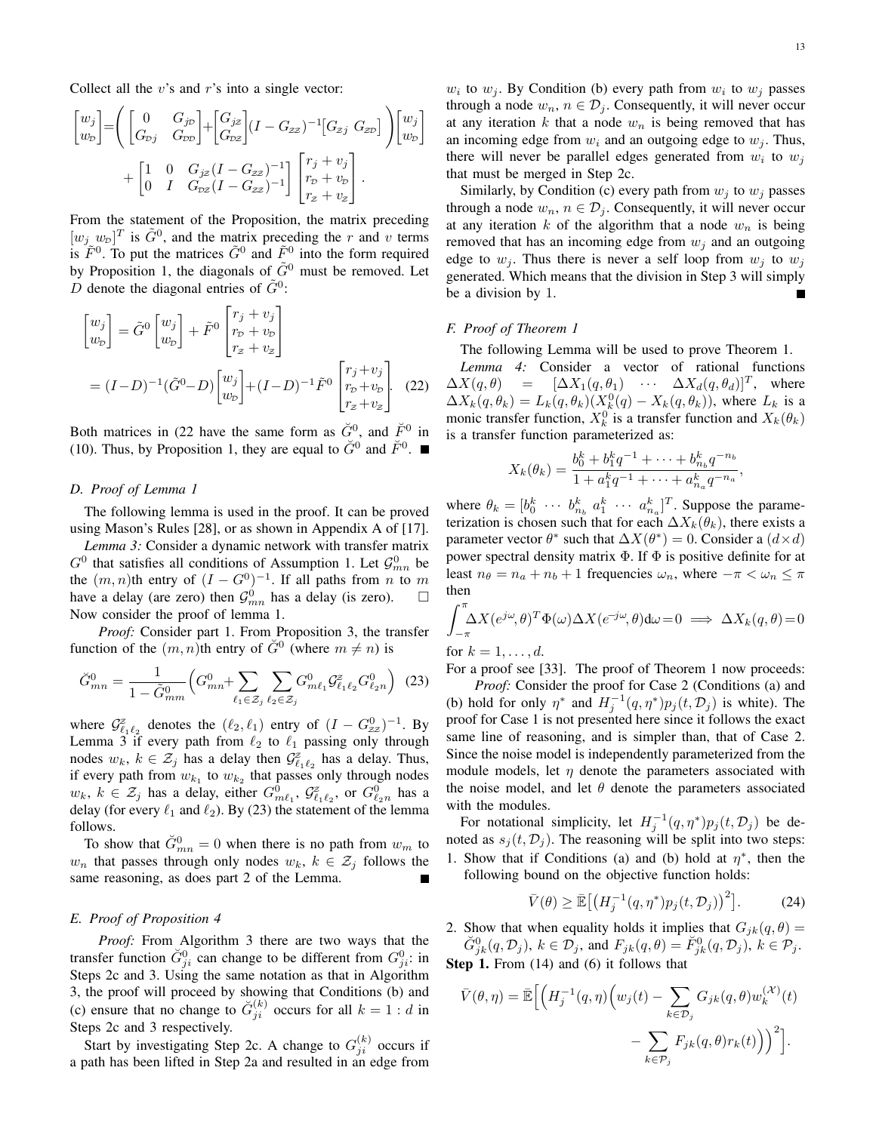Collect all the  $v$ 's and  $r$ 's into a single vector:

$$
\begin{bmatrix} w_j \\ w_p \end{bmatrix} = \left( \begin{bmatrix} 0 & G_{jp} \\ G_{pj} & G_{pp} \end{bmatrix} + \begin{bmatrix} G_{jz} \\ G_{pz} \end{bmatrix} (I - G_{zz})^{-1} \begin{bmatrix} G_{zj} & G_{zp} \end{bmatrix} \right) \begin{bmatrix} w_j \\ w_p \end{bmatrix} + \begin{bmatrix} 1 & 0 & G_{jz} (I - G_{zz})^{-1} \\ 0 & I & G_{pz} (I - G_{zz})^{-1} \end{bmatrix} \begin{bmatrix} r_j + v_j \\ r_p + v_p \\ r_z + v_z \end{bmatrix}.
$$

From the statement of the Proposition, the matrix preceding  $[w_j \ w_p]^T$  is  $\tilde{G}^0$ , and the matrix preceding the r and v terms is  $\tilde{F}^0$ . To put the matrices  $\tilde{G}^0$  and  $\tilde{F}^0$  into the form required by Proposition 1, the diagonals of  $\tilde{G}^0$  must be removed. Let  $\overrightarrow{D}$  denote the diagonal entries of  $\tilde{G}^0$ :

$$
\begin{bmatrix} w_j \\ w_p \end{bmatrix} = \tilde{G}^0 \begin{bmatrix} w_j \\ w_p \end{bmatrix} + \tilde{F}^0 \begin{bmatrix} r_j + v_j \\ r_p + v_p \\ r_z + v_z \end{bmatrix}
$$

$$
= (I - D)^{-1} (\tilde{G}^0 - D) \begin{bmatrix} w_j \\ w_p \end{bmatrix} + (I - D)^{-1} \tilde{F}^0 \begin{bmatrix} r_j + v_j \\ r_p + v_p \\ r_z + v_z \end{bmatrix}.
$$
(22)

Both matrices in (22 have the same form as  $\check{G}^0$ , and  $\check{F}^0$  in (10). Thus, by Proposition 1, they are equal to  $\check{G}^0$  and  $\check{F}^0$ .

#### *D. Proof of Lemma 1*

The following lemma is used in the proof. It can be proved using Mason's Rules [28], or as shown in Appendix A of [17].

*Lemma 3:* Consider a dynamic network with transfer matrix  $G^0$  that satisfies all conditions of Assumption 1. Let  $\mathcal{G}_{mn}^0$  be the  $(m, n)$ th entry of  $(I - G^0)^{-1}$ . If all paths from *n* to *m* have a delay (are zero) then  $G_{mn}^0$  has a delay (is zero).  $\square$ Now consider the proof of lemma 1.

*Proof:* Consider part 1. From Proposition 3, the transfer function of the  $(m, n)$ th entry of  $\check{G}^0$  (where  $m \neq n$ ) is

$$
\check{G}_{mn}^0 = \frac{1}{1 - \tilde{G}_{mm}^0} \Big( G_{mn}^0 + \sum_{\ell_1 \in \mathcal{Z}_j} \sum_{\ell_2 \in \mathcal{Z}_j} G_{m\ell_1}^0 \mathcal{G}_{\ell_1 \ell_2}^z G_{\ell_2 n}^0 \Big) \tag{23}
$$

where  $\mathcal{G}_{\ell_1 \ell_2}^z$  denotes the  $(\ell_2, \ell_1)$  entry of  $(I - G_{zz}^0)^{-1}$ . By Lemma 3 if every path from  $\ell_2$  to  $\ell_1$  passing only through nodes  $w_k$ ,  $k \in \mathcal{Z}_j$  has a delay then  $\mathcal{G}_{\ell_1 \ell_2}^z$  has a delay. Thus, if every path from  $w_{k_1}$  to  $w_{k_2}$  that passes only through nodes  $w_k$ ,  $k \in \mathcal{Z}_j$  has a delay, either  $G^0_{m\ell_1}$ ,  $\mathcal{G}^z_{\ell_1\ell_2}$ , or  $G^0_{\ell_2 n}$  has a delay (for every  $\ell_1$  and  $\ell_2$ ). By (23) the statement of the lemma follows.

To show that  $\check{G}_{mn}^0 = 0$  when there is no path from  $w_m$  to  $w_n$  that passes through only nodes  $w_k$ ,  $k \in \mathcal{Z}_j$  follows the same reasoning, as does part 2 of the Lemma.

# *E. Proof of Proposition 4*

*Proof:* From Algorithm 3 there are two ways that the transfer function  $\check{G}_{ji}^0$  can change to be different from  $G_{ji}^0$ : in Steps 2c and 3. Using the same notation as that in Algorithm 3, the proof will proceed by showing that Conditions (b) and (c) ensure that no change to  $\check{G}_{ji}^{(k)}$  occurs for all  $k = 1:d$  in Steps 2c and 3 respectively.

Start by investigating Step 2c. A change to  $G_{ji}^{(k)}$  occurs if a path has been lifted in Step 2a and resulted in an edge from

 $w_i$  to  $w_j$ . By Condition (b) every path from  $w_i$  to  $w_j$  passes through a node  $w_n$ ,  $n \in \mathcal{D}_j$ . Consequently, it will never occur at any iteration k that a node  $w_n$  is being removed that has an incoming edge from  $w_i$  and an outgoing edge to  $w_j$ . Thus, there will never be parallel edges generated from  $w_i$  to  $w_j$ that must be merged in Step 2c.

Similarly, by Condition (c) every path from  $w_i$  to  $w_j$  passes through a node  $w_n$ ,  $n \in \mathcal{D}_j$ . Consequently, it will never occur at any iteration k of the algorithm that a node  $w_n$  is being removed that has an incoming edge from  $w_j$  and an outgoing edge to  $w_i$ . Thus there is never a self loop from  $w_i$  to  $w_i$ generated. Which means that the division in Step 3 will simply be a division by 1.

#### *F. Proof of Theorem 1*

The following Lemma will be used to prove Theorem 1.

*Lemma 4:* Consider a vector of rational functions  $\Delta X(q, \theta)$  =  $[\Delta X_1(q, \theta_1) \cdots \Delta X_d(q, \theta_d)]^T$ , where  $\Delta X_k(q, \theta_k) = L_k(q, \theta_k)(X_k^0(q) - X_k(q, \theta_k))$ , where  $L_k$  is a monic transfer function,  $X_k^0$  is a transfer function and  $X_k(\theta_k)$ is a transfer function parameterized as:

$$
X_k(\theta_k) = \frac{b_0^k + b_1^k q^{-1} + \dots + b_{n_b}^k q^{-n_b}}{1 + a_1^k q^{-1} + \dots + a_{n_a}^k q^{-n_a}},
$$

where  $\theta_k = \begin{bmatrix} b_0^k & \cdots & b_{n_b}^k & a_1^k & \cdots & a_{n_a}^k \end{bmatrix}^T$ . Suppose the parameterization is chosen such that for each  $\Delta X_k(\theta_k)$ , there exists a parameter vector  $\theta^*$  such that  $\Delta X(\theta^*) = 0$ . Consider a  $(d \times d)$ power spectral density matrix  $\Phi$ . If  $\Phi$  is positive definite for at least  $n_{\theta} = n_a + n_b + 1$  frequencies  $\omega_n$ , where  $-\pi < \omega_n \le \pi$ then

$$
\int_{-\pi}^{\pi} \Delta X(e^{j\omega}, \theta)^T \Phi(\omega) \Delta X(e^{-j\omega}, \theta) d\omega = 0 \implies \Delta X_k(q, \theta) = 0
$$

for  $k = 1, \ldots, d$ .

For a proof see [33]. The proof of Theorem 1 now proceeds:

*Proof:* Consider the proof for Case 2 (Conditions (a) and (b) hold for only  $\eta^*$  and  $H_j^{-1}(q, \eta^*)p_j(t, \mathcal{D}_j)$  is white). The proof for Case 1 is not presented here since it follows the exact same line of reasoning, and is simpler than, that of Case 2. Since the noise model is independently parameterized from the module models, let  $\eta$  denote the parameters associated with the noise model, and let  $\theta$  denote the parameters associated with the modules.

For notational simplicity, let  $H_j^{-1}(q, \eta^*)p_j(t, \mathcal{D}_j)$  be denoted as  $s_j(t, \mathcal{D}_j)$ . The reasoning will be split into two steps: 1. Show that if Conditions (a) and (b) hold at  $\eta^*$ , then the following bound on the objective function holds:

$$
\bar{V}(\theta) \ge \mathbb{\bar{E}}\left[\left(H_j^{-1}(q,\eta^*)p_j(t,\mathcal{D}_j)\right)^2\right].\tag{24}
$$

2. Show that when equality holds it implies that  $G_{ik}(q, \theta) =$  $\check{G}_{jk}^0(q, \mathcal{D}_j)$ ,  $k \in \mathcal{D}_j$ , and  $F_{jk}(q, \theta) = \check{F}_{jk}^0(q, \mathcal{D}_j)$ ,  $k \in \mathcal{P}_j$ . Step 1. From (14) and (6) it follows that

$$
\bar{V}(\theta,\eta) = \bar{\mathbb{E}} \Big[ \Big( H_j^{-1}(q,\eta) \Big( w_j(t) - \sum_{k \in \mathcal{D}_j} G_{jk}(q,\theta) w_k^{(\mathcal{X})}(t) - \sum_{k \in \mathcal{P}_j} F_{jk}(q,\theta) r_k(t) \Big) \Big)^2 \Big].
$$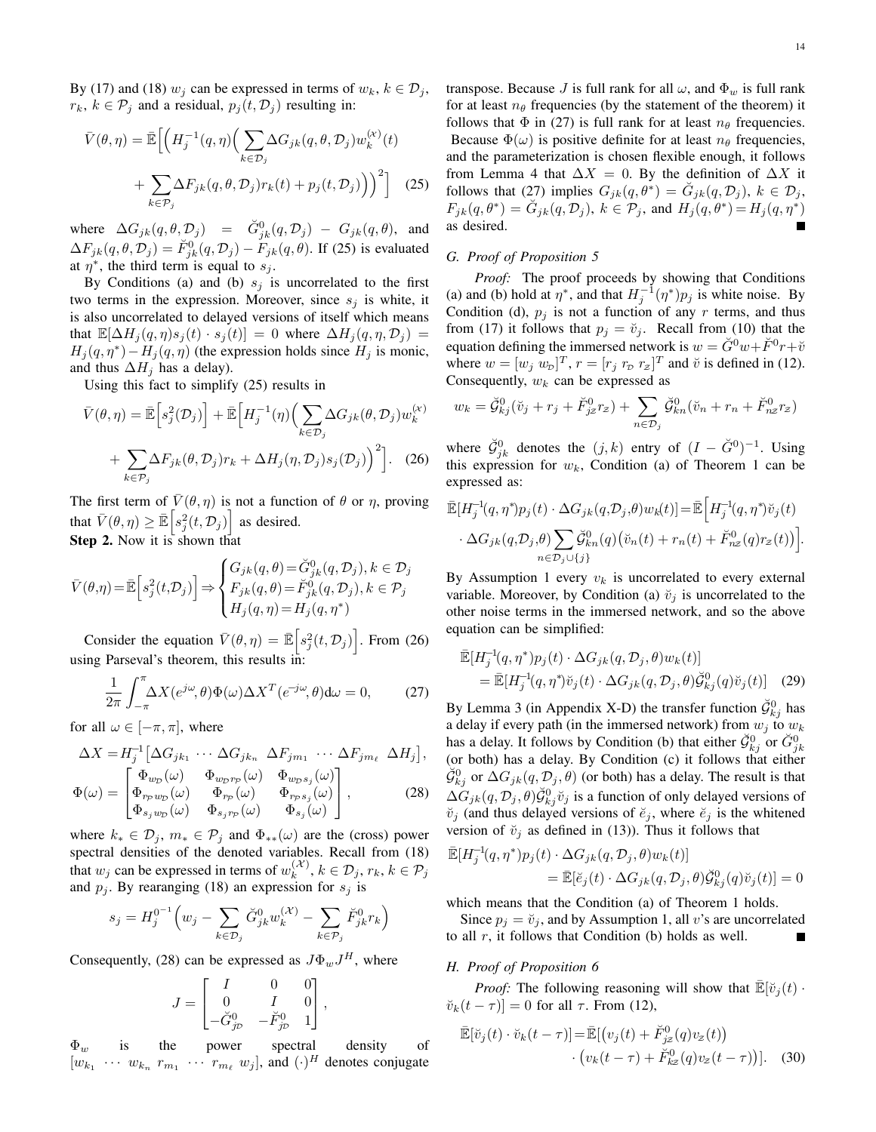By (17) and (18)  $w_i$  can be expressed in terms of  $w_k$ ,  $k \in \mathcal{D}_i$ ,  $r_k$ ,  $k \in \mathcal{P}_j$  and a residual,  $p_j(t, \mathcal{D}_j)$  resulting in:

$$
\bar{V}(\theta,\eta) = \bar{\mathbb{E}} \Big[ \Big( H_j^{-1}(q,\eta) \Big( \sum_{k \in \mathcal{D}_j} \Delta G_{jk}(q,\theta,\mathcal{D}_j) w_k^{(\kappa)}(t) + \sum_{k \in \mathcal{P}_j} \Delta F_{jk}(q,\theta,\mathcal{D}_j) r_k(t) + p_j(t,\mathcal{D}_j) \Big) \Big)^2 \Big] \tag{25}
$$

where  $\Delta G_{jk}(q, \theta, \mathcal{D}_j) = \check{G}^0_{jk}(q, \mathcal{D}_j) - G_{jk}(q, \theta)$ , and  $\Delta F_{jk}(q, \theta, \mathcal{D}_j) = \breve{F}_{jk}^0(q, \mathcal{D}_j) - \breve{F}_{jk}(q, \theta)$ . If (25) is evaluated at  $\eta^*$ , the third term is equal to  $s_j$ .

By Conditions (a) and (b)  $s_j$  is uncorrelated to the first two terms in the expression. Moreover, since  $s_i$  is white, it is also uncorrelated to delayed versions of itself which means that  $\mathbb{E}[\Delta H_i(q,\eta)s_i(t) \cdot s_i(t)] = 0$  where  $\Delta H_i(q,\eta,\mathcal{D}_i) =$  $H_j(q, \eta^*) - H_j(q, \eta)$  (the expression holds since  $H_j$  is monic, and thus  $\Delta H_j$  has a delay).

Using this fact to simplify (25) results in

$$
\bar{V}(\theta,\eta) = \bar{\mathbb{E}} \Big[ s_j^2(\mathcal{D}_j) \Big] + \bar{\mathbb{E}} \Big[ H_j^{-1}(\eta) \Big( \sum_{k \in \mathcal{D}_j} \Delta G_{jk}(\theta, \mathcal{D}_j) w_k^{(\kappa)} + \sum_{k \in \mathcal{P}_j} \Delta F_{jk}(\theta, \mathcal{D}_j) r_k + \Delta H_j(\eta, \mathcal{D}_j) s_j(\mathcal{D}_j) \Big)^2 \Big].
$$
 (26)

The first term of  $\bar{V}(\theta, \eta)$  is not a function of  $\theta$  or  $\eta$ , proving that  $\bar{V}(\theta, \eta) \geq \bar{\mathbb{E}} \left[ s_j^2(t, \mathcal{D}_j) \right]$  as desired. Step 2. Now it is shown that

$$
\bar{V}(\theta,\eta) = \bar{\mathbb{E}}\Big[s_j^2(t,\mathcal{D}_j)\Big] \Rightarrow \begin{cases} G_{jk}(q,\theta) = \check{G}_{jk}^0(q,\mathcal{D}_j), k \in \mathcal{D}_j \\ F_{jk}(q,\theta) = \check{F}_{jk}^0(q,\mathcal{D}_j), k \in \mathcal{P}_j \\ H_j(q,\eta) = H_j(q,\eta^*) \end{cases}
$$

Consider the equation  $\bar{V}(\theta, \eta) = \bar{\mathbb{E}} \left[ s_j^2(t, \mathcal{D}_j) \right]$ . From (26) using Parseval's theorem, this results in:

$$
\frac{1}{2\pi} \int_{-\pi}^{\pi} \Delta X(e^{j\omega}, \theta) \Phi(\omega) \Delta X^T(e^{-j\omega}, \theta) d\omega = 0, \qquad (27)
$$

for all  $\omega \in [-\pi, \pi]$ , where

$$
\Delta X = H_j^{-1} \left[ \Delta G_{jk_1} \cdots \Delta G_{jk_n} \Delta F_{jm_1} \cdots \Delta F_{jm_\ell} \Delta H_j \right],
$$
  
\n
$$
\left[ \Phi_{wp}(\omega) \Phi_{wp_{FP}}(\omega) \Phi_{wp_{Sj}}(\omega) \right]
$$

$$
\Phi(\omega) = \begin{bmatrix}\n\Phi_{rpw_D}(\omega) & \Phi_{rp}(\omega) & \Phi_{rps_j}(\omega) \\
\Phi_{s_jw_D}(\omega) & \Phi_{s_jrp}(\omega) & \Phi_{s_j}(\omega)\n\end{bmatrix},
$$
\n(28)

where  $k_* \in \mathcal{D}_j$ ,  $m_* \in \mathcal{P}_j$  and  $\Phi_{**}(\omega)$  are the (cross) power spectral densities of the denoted variables. Recall from (18) that  $w_j$  can be expressed in terms of  $w_k^{(\mathcal{X})}$  $\mathcal{L}_{k}^{(\mathcal{A})}, k \in \mathcal{D}_{j}, r_{k}, k \in \mathcal{P}_{j}$ and  $p_j$ . By rearanging (18) an expression for  $s_j$  is

$$
s_j = H_j^{0^{-1}} \left( w_j - \sum_{k \in \mathcal{D}_j} \check{G}_{jk}^0 w_k^{(\mathcal{X})} - \sum_{k \in \mathcal{P}_j} \check{F}_{jk}^0 r_k \right)
$$

Consequently, (28) can be expressed as  $J\Phi_w J^H$ , where

$$
J = \begin{bmatrix} I & 0 & 0 \\ 0 & I & 0 \\ -\breve{G}_{j\mathcal{D}}^0 & -\breve{F}_{j\mathcal{D}}^0 & 1 \end{bmatrix},
$$

 $\Phi_w$  is the power spectral density of  $[w_{k_1} \cdots w_{k_n} r_{m_1} \cdots r_{m_\ell} w_j]$ , and  $(\cdot)^H$  denotes conjugate transpose. Because J is full rank for all  $\omega$ , and  $\Phi_w$  is full rank for at least  $n_{\theta}$  frequencies (by the statement of the theorem) it follows that  $\Phi$  in (27) is full rank for at least  $n_{\theta}$  frequencies. Because  $\Phi(\omega)$  is positive definite for at least  $n_{\theta}$  frequencies, and the parameterization is chosen flexible enough, it follows from Lemma 4 that  $\Delta X = 0$ . By the definition of  $\Delta X$  it follows that (27) implies  $G_{jk}(q, \theta^*) = \check{G}_{jk}(q, \mathcal{D}_j)$ ,  $k \in \mathcal{D}_j$ ,  $F_{jk}(q, \theta^*) = \check{G}_{jk}(q, \mathcal{D}_j), k \in \mathcal{P}_j$ , and  $H_j(q, \theta^*) = H_j(q, \eta^*)$ as desired.

# *G. Proof of Proposition 5*

*Proof:* The proof proceeds by showing that Conditions (a) and (b) hold at  $\eta^*$ , and that  $H_j^{-1}(\eta^*)p_j$  is white noise. By Condition (d),  $p_j$  is not a function of any r terms, and thus from (17) it follows that  $p_j = \check{v}_j$ . Recall from (10) that the equation defining the immersed network is  $w = \check{G}^0 w + \check{F}^0 r + \check{v}$ where  $w = [w_j \ w_{\text{D}}]^T$ ,  $r = [r_j \ r_{\text{D}} \ r_z]^T$  and  $\breve{v}$  is defined in (12). Consequently,  $w_k$  can be expressed as

$$
w_k = \check{\mathcal{G}}_{kj}^0(\check{v}_j + r_j + \check{F}_{jz}^0 r_z) + \sum_{n \in \mathcal{D}_j} \check{\mathcal{G}}_{kn}^0(\check{v}_n + r_n + \check{F}_{nz}^0 r_z)
$$

where  $\check{\mathcal{G}}_{jk}^0$  denotes the  $(j,k)$  entry of  $(I - \check{G}^0)^{-1}$ . Using this expression for  $w_k$ , Condition (a) of Theorem 1 can be expressed as:

$$
\bar{\mathbb{E}}[H_j^{-1}(q,\eta^*)p_j(t)\cdot\Delta G_{jk}(q,\mathcal{D}_j,\theta)w_k(t)]=\bar{\mathbb{E}}\Big[H_j^{-1}(q,\eta^*)\check{v}_j(t)\cdot\Delta G_{jk}(q,\mathcal{D}_j,\theta)\sum_{n\in\mathcal{D}_j\cup\{j\}}\check{\mathcal{G}}_{kn}^0(q)(\check{v}_n(t)+r_n(t)+\check{F}_{nz}^0(q)r_z(t))\Big].
$$

By Assumption 1 every  $v_k$  is uncorrelated to every external variable. Moreover, by Condition (a)  $\check{v}_i$  is uncorrelated to the other noise terms in the immersed network, and so the above equation can be simplified:

$$
\bar{\mathbb{E}}[H_j^{-1}(q,\eta^*)p_j(t)\cdot\Delta G_{jk}(q,\mathcal{D}_j,\theta)w_k(t)]
$$
\n
$$
= \bar{\mathbb{E}}[H_j^{-1}(q,\eta^*)\breve{v}_j(t)\cdot\Delta G_{jk}(q,\mathcal{D}_j,\theta)\breve{\mathcal{G}}_{kj}^0(q)\breve{v}_j(t)] \quad (29)
$$

By Lemma 3 (in Appendix X-D) the transfer function  $\check{\mathcal{G}}_{kj}^0$  has a delay if every path (in the immersed network) from  $w_j$  to  $w_k$ has a delay. It follows by Condition (b) that either  $\check{G}_{kj}^0$  or  $\check{G}_{jk}^0$ (or both) has a delay. By Condition (c) it follows that either  $\breve{\mathcal{G}}_{kj}^0$  or  $\Delta G_{jk}(q, \mathcal{D}_j, \theta)$  (or both) has a delay. The result is that  $\Delta G_{jk}(q, \mathcal{D}_j, \theta) \breve{\mathcal{G}}^0_{kj} \breve{v}_j$  is a function of only delayed versions of  $\check{v}_j$  (and thus delayed versions of  $\check{e}_j$ , where  $\check{e}_j$  is the whitened version of  $\check{v}_j$  as defined in (13)). Thus it follows that

$$
\begin{aligned} \mathbb{\bar{E}}[H_j^{-1}(q,\eta^*)p_j(t)\cdot\Delta G_{jk}(q,\mathcal{D}_j,\theta)w_k(t)]\\ &=\mathbb{\bar{E}}[\breve{e}_j(t)\cdot\Delta G_{jk}(q,\mathcal{D}_j,\theta)\breve{\mathcal{G}}_{kj}^0(q)\breve{v}_j(t)]=0 \end{aligned}
$$

which means that the Condition (a) of Theorem 1 holds.

Since  $p_i = \tilde{v}_i$ , and by Assumption 1, all v's are uncorrelated to all  $r$ , it follows that Condition (b) holds as well.

#### *H. Proof of Proposition 6*

*Proof:* The following reasoning will show that  $\mathbb{E}[\breve{v}_i(t)]$ .  $\breve{v}_k(t-\tau)]=0$  for all  $\tau$ . From (12),

$$
\bar{\mathbb{E}}[\breve{v}_j(t)\cdot\breve{v}_k(t-\tau)] = \bar{\mathbb{E}}[(v_j(t)+\breve{F}_{jz}^0(q)v_z(t))\cdot (v_k(t-\tau)+\breve{F}_{kz}^0(q)v_z(t-\tau))].
$$
 (30)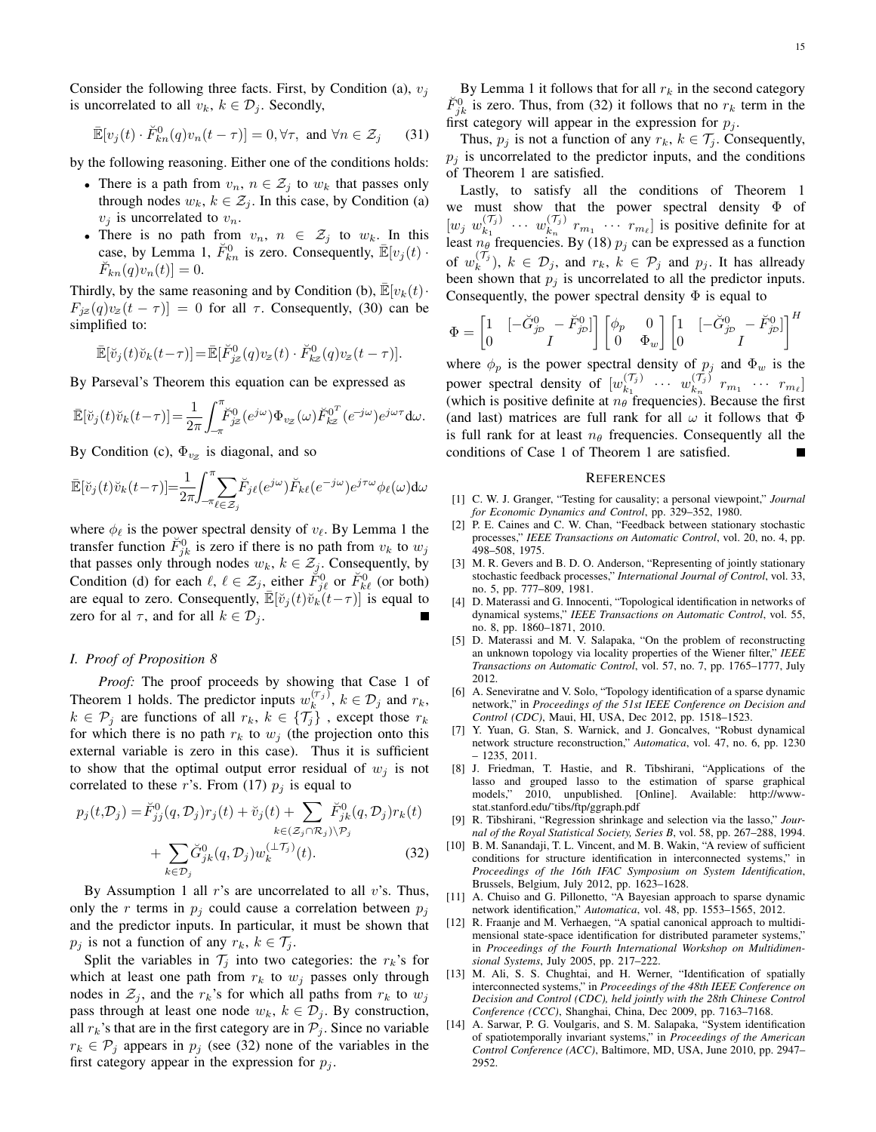Consider the following three facts. First, by Condition (a),  $v_i$ is uncorrelated to all  $v_k$ ,  $k \in \mathcal{D}_i$ . Secondly,

$$
\mathbb{E}[v_j(t) \cdot \breve{F}_{kn}^0(q)v_n(t-\tau)] = 0, \forall \tau, \text{ and } \forall n \in \mathcal{Z}_j \qquad (31)
$$

by the following reasoning. Either one of the conditions holds:

- There is a path from  $v_n$ ,  $n \in \mathcal{Z}_j$  to  $w_k$  that passes only through nodes  $w_k$ ,  $k \in \mathcal{Z}_j$ . In this case, by Condition (a)  $v_i$  is uncorrelated to  $v_n$ .
- There is no path from  $v_n$ ,  $n \in \mathcal{Z}_j$  to  $w_k$ . In this case, by Lemma 1,  $\check{F}_{kn}^0$  is zero. Consequently,  $\mathbb{\bar{E}}[v_j(t)]$  $\check{F}_{kn}(q)v_n(t)]=0.$

Thirdly, by the same reasoning and by Condition (b),  $\mathbb{E}[v_k(t)]$ .  $F_{iz}(q)v_z(t-\tau)]=0$  for all  $\tau$ . Consequently, (30) can be simplified to:

$$
\mathbb{\bar{E}}[\breve{v}_j(t)\breve{v}_k(t-\tau)] = \mathbb{\bar{E}}[\breve{F}_{jz}^0(q)v_z(t)\cdot\breve{F}_{kz}^0(q)v_z(t-\tau)].
$$

By Parseval's Theorem this equation can be expressed as

$$
\mathbb{\bar{E}}[\breve{v}_j(t)\breve{v}_k(t-\tau)] = \frac{1}{2\pi} \int_{-\pi}^{\pi} \breve{F}_{jz}^0(e^{j\omega}) \Phi_{vz}(\omega) \breve{F}_{kz}^{0}(\overline{e^{-j\omega}}) e^{j\omega \tau} d\omega.
$$

By Condition (c),  $\Phi_{vz}$  is diagonal, and so

$$
\mathbb{\bar{E}}[\breve{v}_j(t)\breve{v}_k(t-\tau)] = \frac{1}{2\pi} \int_{-\pi}^{\pi} \sum_{\ell \in \mathcal{Z}_j} \breve{F}_{j\ell}(e^{j\omega}) \breve{F}_{k\ell}(e^{-j\omega}) e^{j\tau\omega} \phi_{\ell}(\omega) d\omega
$$

where  $\phi_{\ell}$  is the power spectral density of  $v_{\ell}$ . By Lemma 1 the transfer function  $\tilde{F}_{jk}^0$  is zero if there is no path from  $v_k$  to  $w_j$ that passes only through nodes  $w_k$ ,  $k \in \mathcal{Z}_j$ . Consequently, by Condition (d) for each  $\ell, \ell \in \mathcal{Z}_j$ , either  $\check{F}_{j\ell}^0$  or  $\check{F}_{k\ell}^0$  (or both) are equal to zero. Consequently,  $\mathbb{E}[\breve{v}_j(t)\breve{v}_k(t-\tau)]$  is equal to zero for al  $\tau$ , and for all  $k \in \mathcal{D}_i$ .

### *I. Proof of Proposition 8*

*Proof:* The proof proceeds by showing that Case 1 of Theorem 1 holds. The predictor inputs  $w_k^{(\tau_j)}, k \in \mathcal{D}_j$  and  $r_k$ ,  $k \in \mathcal{P}_j$  are functions of all  $r_k$ ,  $k \in \{\mathcal{T}_j\}$ , except those  $r_k$ for which there is no path  $r_k$  to  $w_i$  (the projection onto this external variable is zero in this case). Thus it is sufficient to show that the optimal output error residual of  $w_i$  is not correlated to these r's. From (17)  $p_j$  is equal to

$$
p_j(t, \mathcal{D}_j) = \breve{F}_{jj}^0(q, \mathcal{D}_j) r_j(t) + \breve{v}_j(t) + \sum_{k \in (\mathcal{Z}_j \cap \mathcal{R}_j) \setminus \mathcal{P}_j} \breve{F}_{jk}^0(q, \mathcal{D}_j) r_k(t) + \sum_{k \in \mathcal{D}_j} \breve{G}_{jk}^0(q, \mathcal{D}_j) w_k^{(\perp \mathcal{T}_j)}(t).
$$
 (32)

By Assumption 1 all  $r$ 's are uncorrelated to all  $v$ 's. Thus, only the r terms in  $p_i$  could cause a correlation between  $p_i$ and the predictor inputs. In particular, it must be shown that  $p_j$  is not a function of any  $r_k, k \in \mathcal{T}_j$ .

Split the variables in  $\mathcal{T}_i$  into two categories: the  $r_k$ 's for which at least one path from  $r_k$  to  $w_j$  passes only through nodes in  $\mathcal{Z}_i$ , and the  $r_k$ 's for which all paths from  $r_k$  to  $w_j$ pass through at least one node  $w_k$ ,  $k \in \mathcal{D}_j$ . By construction, all  $r_k$ 's that are in the first category are in  $P_i$ . Since no variable  $r_k \in \mathcal{P}_j$  appears in  $p_j$  (see (32) none of the variables in the first category appear in the expression for  $p_i$ .

By Lemma 1 it follows that for all  $r_k$  in the second category  $\check{F}_{jk}^0$  is zero. Thus, from (32) it follows that no  $r_k$  term in the first category will appear in the expression for  $p_i$ .

Thus,  $p_j$  is not a function of any  $r_k$ ,  $k \in \mathcal{T}_j$ . Consequently,  $p_j$  is uncorrelated to the predictor inputs, and the conditions of Theorem 1 are satisfied.

Lastly, to satisfy all the conditions of Theorem 1 we must show that the power spectral density Φ of  $[w_j \; w_{k_1}^{(\mathcal{T}_j)}]$  $w_{k_1}^{(\mathcal{T}_j)}$   $\cdots$   $w_{k_n}^{(\mathcal{T}_j)}$  $\binom{r_j}{k_n}$   $r_{m_1}$   $\cdots$   $r_{m_\ell}$  is positive definite for at least  $n_{\theta}$  frequencies. By (18)  $p_j$  can be expressed as a function of  $w_k^{(\mathcal{T}_j)}$ ,  $k \in \mathcal{D}_j$ , and  $r_k$ ,  $k \in \mathcal{P}_j$  and  $p_j$ . It has allready been shown that  $p_j$  is uncorrelated to all the predictor inputs. Consequently, the power spectral density  $\Phi$  is equal to

$$
\Phi = \begin{bmatrix} 1 & \left[ -\breve{G}_{j\mathcal{D}}^0 - \breve{F}_{j\mathcal{D}}^0 \right] \\ 0 & I \end{bmatrix} \begin{bmatrix} \phi_p & 0 \\ 0 & \Phi_w \end{bmatrix} \begin{bmatrix} 1 & \left[ -\breve{G}_{j\mathcal{D}}^0 - \breve{F}_{j\mathcal{D}}^0 \right] \\ 0 & I \end{bmatrix}^H
$$

where  $\phi_p$  is the power spectral density of  $p_j$  and  $\Phi_w$  is the power spectral density of  $[w_{k_1}^{(\mathcal{T}_j)}]$  $w_{k_1}^{(\mathcal{T}_j)}$  ...  $w_{k_n}^{(\mathcal{T}_j)}$  $\begin{bmatrix} r_{ij} & r_{m_1} & \cdots & r_{m_\ell} \end{bmatrix}$ (which is positive definite at  $n_{\theta}$  frequencies). Because the first (and last) matrices are full rank for all  $\omega$  it follows that  $\Phi$ is full rank for at least  $n_\theta$  frequencies. Consequently all the conditions of Case 1 of Theorem 1 are satisfied.

#### **REFERENCES**

- [1] C. W. J. Granger, "Testing for causality; a personal viewpoint," *Journal for Economic Dynamics and Control*, pp. 329–352, 1980.
- [2] P. E. Caines and C. W. Chan, "Feedback between stationary stochastic processes," *IEEE Transactions on Automatic Control*, vol. 20, no. 4, pp. 498–508, 1975.
- [3] M. R. Gevers and B. D. O. Anderson, "Representing of jointly stationary stochastic feedback processes," *International Journal of Control*, vol. 33, no. 5, pp. 777–809, 1981.
- [4] D. Materassi and G. Innocenti, "Topological identification in networks of dynamical systems," *IEEE Transactions on Automatic Control*, vol. 55, no. 8, pp. 1860–1871, 2010.
- [5] D. Materassi and M. V. Salapaka, "On the problem of reconstructing an unknown topology via locality properties of the Wiener filter," *IEEE Transactions on Automatic Control*, vol. 57, no. 7, pp. 1765–1777, July 2012.
- [6] A. Seneviratne and V. Solo, "Topology identification of a sparse dynamic network," in *Proceedings of the 51st IEEE Conference on Decision and Control (CDC)*, Maui, HI, USA, Dec 2012, pp. 1518–1523.
- [7] Y. Yuan, G. Stan, S. Warnick, and J. Goncalves, "Robust dynamical network structure reconstruction," *Automatica*, vol. 47, no. 6, pp. 1230 – 1235, 2011.
- [8] J. Friedman, T. Hastie, and R. Tibshirani, "Applications of the lasso and grouped lasso to the estimation of sparse graphical models," 2010, unpublished. [Online]. Available: http://wwwstat.stanford.edu/˜tibs/ftp/ggraph.pdf
- [9] R. Tibshirani, "Regression shrinkage and selection via the lasso," *Journal of the Royal Statistical Society, Series B*, vol. 58, pp. 267–288, 1994.
- [10] B. M. Sanandaji, T. L. Vincent, and M. B. Wakin, "A review of sufficient conditions for structure identification in interconnected systems," in *Proceedings of the 16th IFAC Symposium on System Identification*, Brussels, Belgium, July 2012, pp. 1623–1628.
- [11] A. Chuiso and G. Pillonetto, "A Bayesian approach to sparse dynamic network identification," *Automatica*, vol. 48, pp. 1553–1565, 2012.
- [12] R. Fraanje and M. Verhaegen, "A spatial canonical approach to multidimensional state-space identification for distributed parameter systems," in *Proceedings of the Fourth International Workshop on Multidimensional Systems*, July 2005, pp. 217–222.
- [13] M. Ali, S. S. Chughtai, and H. Werner, "Identification of spatially interconnected systems," in *Proceedings of the 48th IEEE Conference on Decision and Control (CDC), held jointly with the 28th Chinese Control Conference (CCC)*, Shanghai, China, Dec 2009, pp. 7163–7168.
- [14] A. Sarwar, P. G. Voulgaris, and S. M. Salapaka, "System identification of spatiotemporally invariant systems," in *Proceedings of the American Control Conference (ACC)*, Baltimore, MD, USA, June 2010, pp. 2947– 2952.